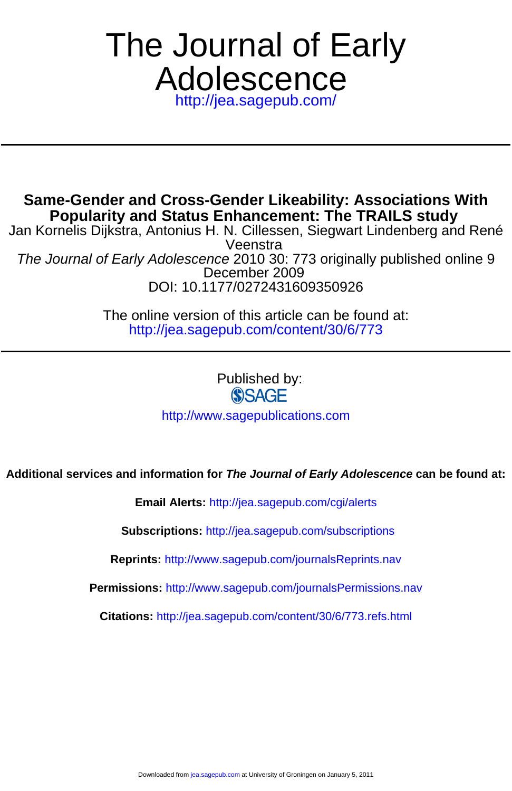# <http://jea.sagepub.com/> Adolescence The Journal of Early

**Popularity and Status Enhancement: The TRAILS study Same-Gender and Cross-Gender Likeability: Associations With**

DOI: 10.1177/0272431609350926 December 2009 The Journal of Early Adolescence 2010 30: 773 originally published online 9 Veenstra Jan Kornelis Dijkstra, Antonius H. N. Cillessen, Siegwart Lindenberg and René

> <http://jea.sagepub.com/content/30/6/773> The online version of this article can be found at:

> > Published by:<br>
> > SAGE <http://www.sagepublications.com>

# **Additional services and information for The Journal of Early Adolescence can be found at:**

**Email Alerts:** <http://jea.sagepub.com/cgi/alerts>

**Subscriptions:** <http://jea.sagepub.com/subscriptions>

**Reprints:** <http://www.sagepub.com/journalsReprints.nav>

**Permissions:** <http://www.sagepub.com/journalsPermissions.nav>

**Citations:** <http://jea.sagepub.com/content/30/6/773.refs.html>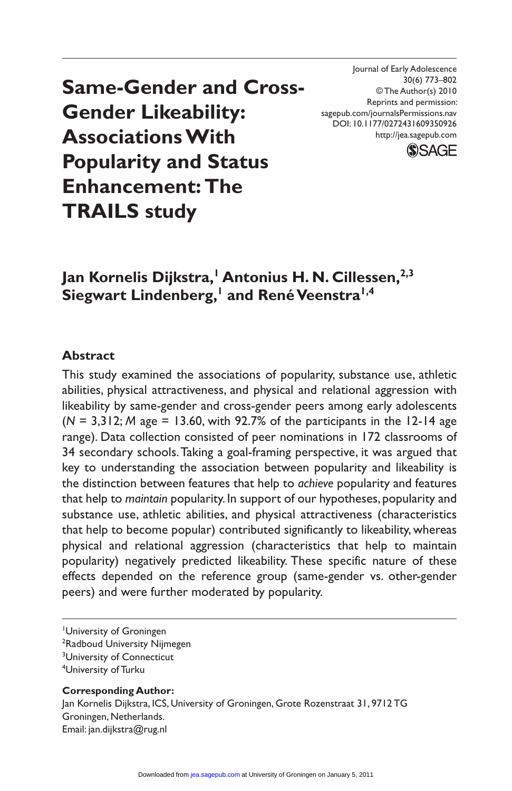**Same-Gender and Cross-Gender Likeability: Associations With Popularity and Status Enhancement: The TRAILS study**

Journal of Early Adolescence 30(6) 773–802 © The Author(s) 2010 Reprints and permission: sagepub.com/journalsPermissions.nav DOI: 10.1177/0272431609350926 http://jea.sagepub.com



# Jan Kornelis Dijkstra,<sup>†</sup> Antonius H. N. Cillessen,<sup>2,3</sup>  $\mathsf{Siegwart}\;{\mathsf{Lindenberg},^{\mathsf{l}}}$  and  $\mathsf{Ren\acute{e}Veenstra^{\mathsf{l}},^{\mathsf{4}}}$

#### **Abstract**

This study examined the associations of popularity, substance use, athletic abilities, physical attractiveness, and physical and relational aggression with likeability by same-gender and cross-gender peers among early adolescents (*N* = 3,312; *M* age = 13.60, with 92.7% of the participants in the 12-14 age range). Data collection consisted of peer nominations in 172 classrooms of 34 secondary schools. Taking a goal-framing perspective, it was argued that key to understanding the association between popularity and likeability is the distinction between features that help to *achieve* popularity and features that help to *maintain* popularity. In support of our hypotheses, popularity and substance use, athletic abilities, and physical attractiveness (characteristics that help to become popular) contributed significantly to likeability, whereas physical and relational aggression (characteristics that help to maintain popularity) negatively predicted likeability. These specific nature of these effects depended on the reference group (same-gender vs. other-gender peers) and were further moderated by popularity.

**Corresponding Author:** Jan Kornelis Dijkstra, ICS, University of Groningen, Grote Rozenstraat 31, 9712 TG Groningen, Netherlands. Email: jan.dijkstra@rug.nl

University of Groningen

<sup>&</sup>lt;sup>2</sup>Radboud University Nijmegen

<sup>&</sup>lt;sup>3</sup>University of Connecticut

<sup>4</sup> University of Turku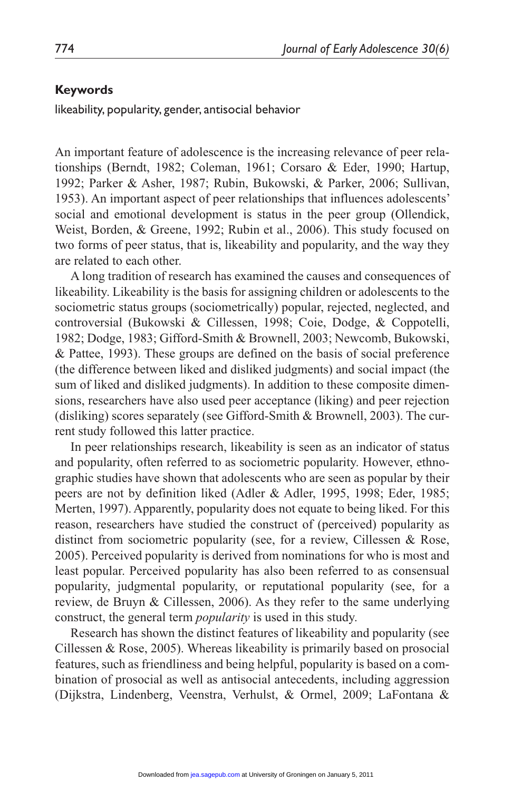#### **Keywords**

likeability, popularity, gender, antisocial behavior

An important feature of adolescence is the increasing relevance of peer relationships (Berndt, 1982; Coleman, 1961; Corsaro & Eder, 1990; Hartup, 1992; Parker & Asher, 1987; Rubin, Bukowski, & Parker, 2006; Sullivan, 1953). An important aspect of peer relationships that influences adolescents' social and emotional development is status in the peer group (Ollendick, Weist, Borden, & Greene, 1992; Rubin et al., 2006). This study focused on two forms of peer status, that is, likeability and popularity, and the way they are related to each other.

A long tradition of research has examined the causes and consequences of likeability. Likeability is the basis for assigning children or adolescents to the sociometric status groups (sociometrically) popular, rejected, neglected, and controversial (Bukowski & Cillessen, 1998; Coie, Dodge, & Coppotelli, 1982; Dodge, 1983; Gifford-Smith & Brownell, 2003; Newcomb, Bukowski, & Pattee, 1993). These groups are defined on the basis of social preference (the difference between liked and disliked judgments) and social impact (the sum of liked and disliked judgments). In addition to these composite dimensions, researchers have also used peer acceptance (liking) and peer rejection (disliking) scores separately (see Gifford-Smith & Brownell, 2003). The current study followed this latter practice.

In peer relationships research, likeability is seen as an indicator of status and popularity, often referred to as sociometric popularity. However, ethnographic studies have shown that adolescents who are seen as popular by their peers are not by definition liked (Adler & Adler, 1995, 1998; Eder, 1985; Merten, 1997). Apparently, popularity does not equate to being liked. For this reason, researchers have studied the construct of (perceived) popularity as distinct from sociometric popularity (see, for a review, Cillessen & Rose, 2005). Perceived popularity is derived from nominations for who is most and least popular. Perceived popularity has also been referred to as consensual popularity, judgmental popularity, or reputational popularity (see, for a review, de Bruyn & Cillessen, 2006). As they refer to the same underlying construct, the general term *popularity* is used in this study.

Research has shown the distinct features of likeability and popularity (see Cillessen & Rose, 2005). Whereas likeability is primarily based on prosocial features, such as friendliness and being helpful, popularity is based on a combination of prosocial as well as antisocial antecedents, including aggression (Dijkstra, Lindenberg, Veenstra, Verhulst, & Ormel, 2009; LaFontana &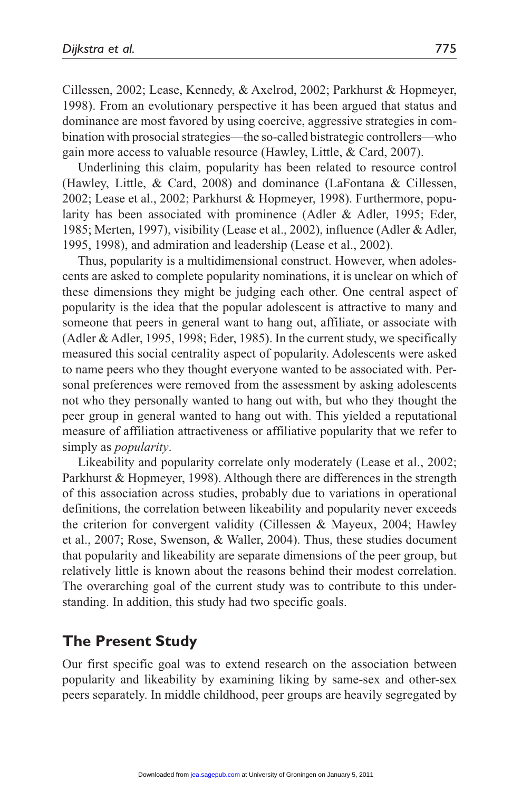Cillessen, 2002; Lease, Kennedy, & Axelrod, 2002; Parkhurst & Hopmeyer, 1998). From an evolutionary perspective it has been argued that status and dominance are most favored by using coercive, aggressive strategies in combination with prosocial strategies—the so-called bistrategic controllers—who gain more access to valuable resource (Hawley, Little, & Card, 2007).

Underlining this claim, popularity has been related to resource control (Hawley, Little, & Card, 2008) and dominance (LaFontana & Cillessen, 2002; Lease et al., 2002; Parkhurst & Hopmeyer, 1998). Furthermore, popularity has been associated with prominence (Adler & Adler, 1995; Eder, 1985; Merten, 1997), visibility (Lease et al., 2002), influence (Adler & Adler, 1995, 1998), and admiration and leadership (Lease et al., 2002).

Thus, popularity is a multidimensional construct. However, when adolescents are asked to complete popularity nominations, it is unclear on which of these dimensions they might be judging each other. One central aspect of popularity is the idea that the popular adolescent is attractive to many and someone that peers in general want to hang out, affiliate, or associate with (Adler & Adler, 1995, 1998; Eder, 1985). In the current study, we specifically measured this social centrality aspect of popularity. Adolescents were asked to name peers who they thought everyone wanted to be associated with. Personal preferences were removed from the assessment by asking adolescents not who they personally wanted to hang out with, but who they thought the peer group in general wanted to hang out with. This yielded a reputational measure of affiliation attractiveness or affiliative popularity that we refer to simply as *popularity*.

Likeability and popularity correlate only moderately (Lease et al., 2002; Parkhurst & Hopmeyer, 1998). Although there are differences in the strength of this association across studies, probably due to variations in operational definitions, the correlation between likeability and popularity never exceeds the criterion for convergent validity (Cillessen & Mayeux, 2004; Hawley et al., 2007; Rose, Swenson, & Waller, 2004). Thus, these studies document that popularity and likeability are separate dimensions of the peer group, but relatively little is known about the reasons behind their modest correlation. The overarching goal of the current study was to contribute to this understanding. In addition, this study had two specific goals.

# **The Present Study**

Our first specific goal was to extend research on the association between popularity and likeability by examining liking by same-sex and other-sex peers separately. In middle childhood, peer groups are heavily segregated by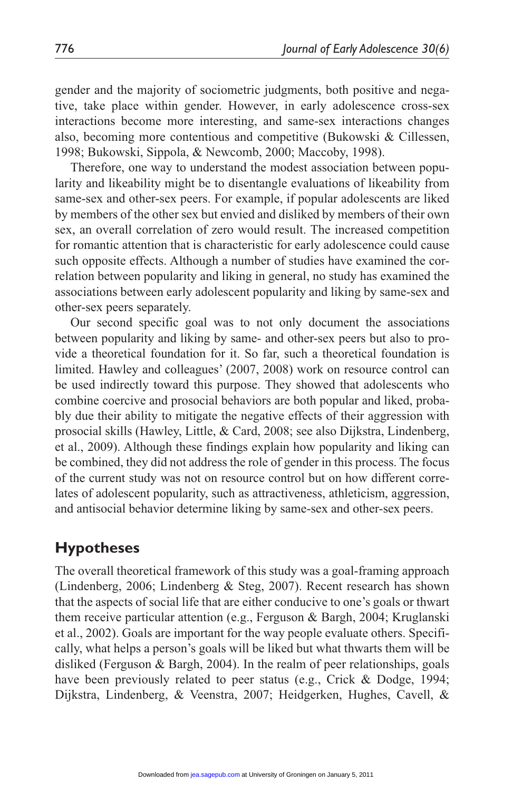gender and the majority of sociometric judgments, both positive and negative, take place within gender. However, in early adolescence cross-sex interactions become more interesting, and same-sex interactions changes also, becoming more contentious and competitive (Bukowski & Cillessen, 1998; Bukowski, Sippola, & Newcomb, 2000; Maccoby, 1998).

Therefore, one way to understand the modest association between popularity and likeability might be to disentangle evaluations of likeability from same-sex and other-sex peers. For example, if popular adolescents are liked by members of the other sex but envied and disliked by members of their own sex, an overall correlation of zero would result. The increased competition for romantic attention that is characteristic for early adolescence could cause such opposite effects. Although a number of studies have examined the correlation between popularity and liking in general, no study has examined the associations between early adolescent popularity and liking by same-sex and other-sex peers separately.

Our second specific goal was to not only document the associations between popularity and liking by same- and other-sex peers but also to provide a theoretical foundation for it. So far, such a theoretical foundation is limited. Hawley and colleagues' (2007, 2008) work on resource control can be used indirectly toward this purpose. They showed that adolescents who combine coercive and prosocial behaviors are both popular and liked, probably due their ability to mitigate the negative effects of their aggression with prosocial skills (Hawley, Little, & Card, 2008; see also Dijkstra, Lindenberg, et al., 2009). Although these findings explain how popularity and liking can be combined, they did not address the role of gender in this process. The focus of the current study was not on resource control but on how different correlates of adolescent popularity, such as attractiveness, athleticism, aggression, and antisocial behavior determine liking by same-sex and other-sex peers.

# **Hypotheses**

The overall theoretical framework of this study was a goal-framing approach (Lindenberg, 2006; Lindenberg & Steg, 2007). Recent research has shown that the aspects of social life that are either conducive to one's goals or thwart them receive particular attention (e.g., Ferguson & Bargh, 2004; Kruglanski et al., 2002). Goals are important for the way people evaluate others. Specifically, what helps a person's goals will be liked but what thwarts them will be disliked (Ferguson & Bargh, 2004). In the realm of peer relationships, goals have been previously related to peer status (e.g., Crick & Dodge, 1994; Dijkstra, Lindenberg, & Veenstra, 2007; Heidgerken, Hughes, Cavell, &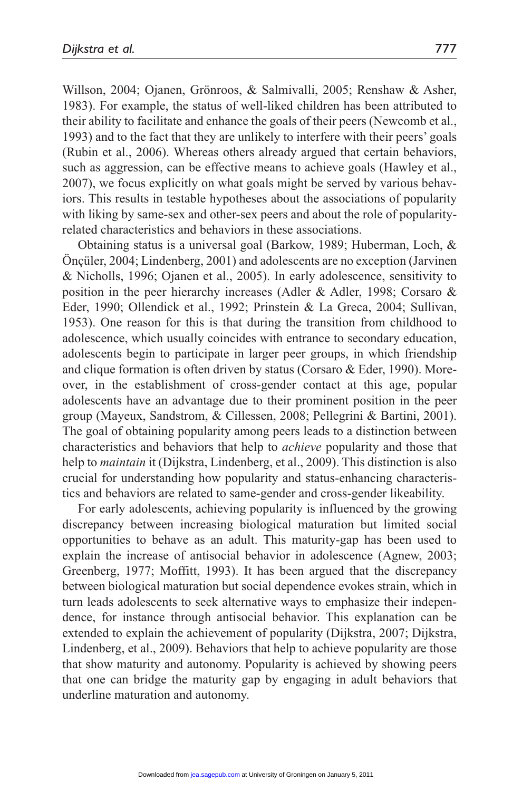Willson, 2004; Ojanen, Grönroos, & Salmivalli, 2005; Renshaw & Asher, 1983). For example, the status of well-liked children has been attributed to their ability to facilitate and enhance the goals of their peers (Newcomb et al., 1993) and to the fact that they are unlikely to interfere with their peers' goals (Rubin et al., 2006). Whereas others already argued that certain behaviors, such as aggression, can be effective means to achieve goals (Hawley et al., 2007), we focus explicitly on what goals might be served by various behaviors. This results in testable hypotheses about the associations of popularity with liking by same-sex and other-sex peers and about the role of popularityrelated characteristics and behaviors in these associations.

Obtaining status is a universal goal (Barkow, 1989; Huberman, Loch, & Önçüler, 2004; Lindenberg, 2001) and adolescents are no exception (Jarvinen & Nicholls, 1996; Ojanen et al., 2005). In early adolescence, sensitivity to position in the peer hierarchy increases (Adler & Adler, 1998; Corsaro & Eder, 1990; Ollendick et al., 1992; Prinstein & La Greca, 2004; Sullivan, 1953). One reason for this is that during the transition from childhood to adolescence, which usually coincides with entrance to secondary education, adolescents begin to participate in larger peer groups, in which friendship and clique formation is often driven by status (Corsaro & Eder, 1990). Moreover, in the establishment of cross-gender contact at this age, popular adolescents have an advantage due to their prominent position in the peer group (Mayeux, Sandstrom, & Cillessen, 2008; Pellegrini & Bartini, 2001). The goal of obtaining popularity among peers leads to a distinction between characteristics and behaviors that help to *achieve* popularity and those that help to *maintain* it (Dijkstra, Lindenberg, et al., 2009). This distinction is also crucial for understanding how popularity and status-enhancing characteristics and behaviors are related to same-gender and cross-gender likeability.

For early adolescents, achieving popularity is influenced by the growing discrepancy between increasing biological maturation but limited social opportunities to behave as an adult. This maturity-gap has been used to explain the increase of antisocial behavior in adolescence (Agnew, 2003; Greenberg, 1977; Moffitt, 1993). It has been argued that the discrepancy between biological maturation but social dependence evokes strain, which in turn leads adolescents to seek alternative ways to emphasize their independence, for instance through antisocial behavior. This explanation can be extended to explain the achievement of popularity (Dijkstra, 2007; Dijkstra, Lindenberg, et al., 2009). Behaviors that help to achieve popularity are those that show maturity and autonomy. Popularity is achieved by showing peers that one can bridge the maturity gap by engaging in adult behaviors that underline maturation and autonomy.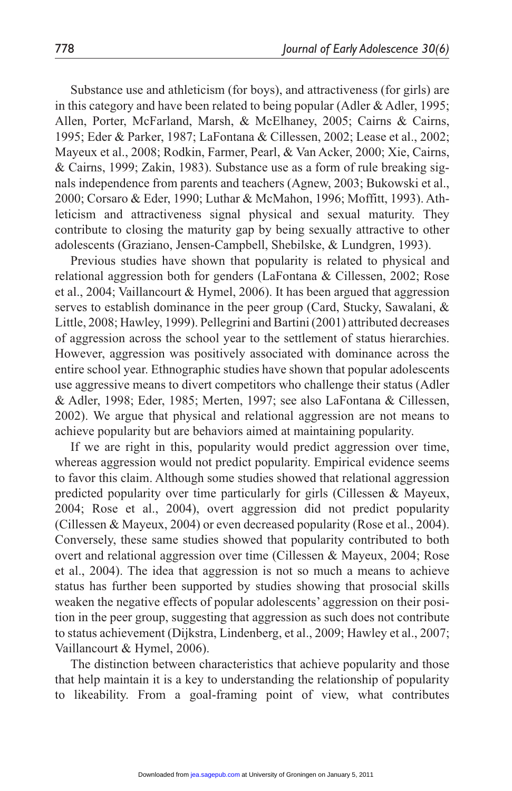Substance use and athleticism (for boys), and attractiveness (for girls) are in this category and have been related to being popular (Adler  $\&$  Adler, 1995; Allen, Porter, McFarland, Marsh, & McElhaney, 2005; Cairns & Cairns, 1995; Eder & Parker, 1987; LaFontana & Cillessen, 2002; Lease et al., 2002; Mayeux et al., 2008; Rodkin, Farmer, Pearl, & Van Acker, 2000; Xie, Cairns, & Cairns, 1999; Zakin, 1983). Substance use as a form of rule breaking signals independence from parents and teachers (Agnew, 2003; Bukowski et al., 2000; Corsaro & Eder, 1990; Luthar & McMahon, 1996; Moffitt, 1993). Athleticism and attractiveness signal physical and sexual maturity. They contribute to closing the maturity gap by being sexually attractive to other adolescents (Graziano, Jensen-Campbell, Shebilske, & Lundgren, 1993).

Previous studies have shown that popularity is related to physical and relational aggression both for genders (LaFontana & Cillessen, 2002; Rose et al., 2004; Vaillancourt & Hymel, 2006). It has been argued that aggression serves to establish dominance in the peer group (Card, Stucky, Sawalani, & Little, 2008; Hawley, 1999). Pellegrini and Bartini (2001) attributed decreases of aggression across the school year to the settlement of status hierarchies. However, aggression was positively associated with dominance across the entire school year. Ethnographic studies have shown that popular adolescents use aggressive means to divert competitors who challenge their status (Adler & Adler, 1998; Eder, 1985; Merten, 1997; see also LaFontana & Cillessen, 2002). We argue that physical and relational aggression are not means to achieve popularity but are behaviors aimed at maintaining popularity.

If we are right in this, popularity would predict aggression over time, whereas aggression would not predict popularity. Empirical evidence seems to favor this claim. Although some studies showed that relational aggression predicted popularity over time particularly for girls (Cillessen & Mayeux, 2004; Rose et al., 2004), overt aggression did not predict popularity (Cillessen & Mayeux, 2004) or even decreased popularity (Rose et al., 2004). Conversely, these same studies showed that popularity contributed to both overt and relational aggression over time (Cillessen & Mayeux, 2004; Rose et al., 2004). The idea that aggression is not so much a means to achieve status has further been supported by studies showing that prosocial skills weaken the negative effects of popular adolescents' aggression on their position in the peer group, suggesting that aggression as such does not contribute to status achievement (Dijkstra, Lindenberg, et al., 2009; Hawley et al., 2007; Vaillancourt & Hymel, 2006).

The distinction between characteristics that achieve popularity and those that help maintain it is a key to understanding the relationship of popularity to likeability. From a goal-framing point of view, what contributes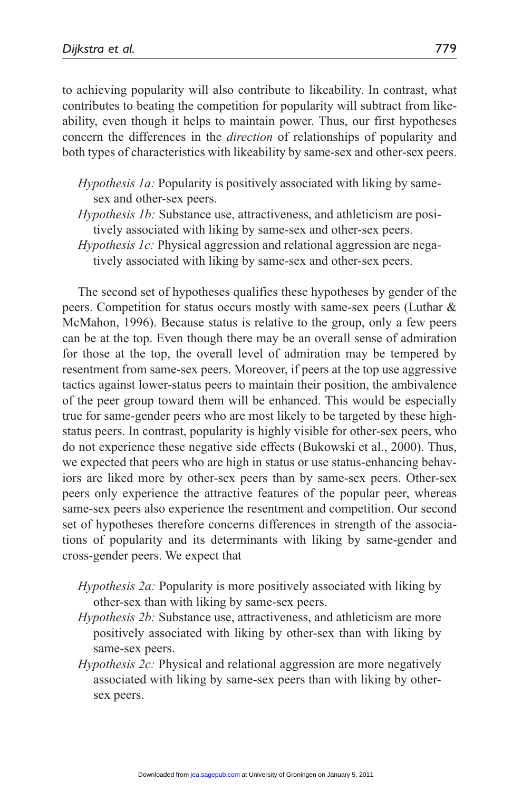to achieving popularity will also contribute to likeability. In contrast, what contributes to beating the competition for popularity will subtract from likeability, even though it helps to maintain power. Thus, our first hypotheses concern the differences in the *direction* of relationships of popularity and both types of characteristics with likeability by same-sex and other-sex peers.

- *Hypothesis 1a:* Popularity is positively associated with liking by samesex and other-sex peers.
- *Hypothesis 1b:* Substance use, attractiveness, and athleticism are positively associated with liking by same-sex and other-sex peers.
- *Hypothesis 1c:* Physical aggression and relational aggression are negatively associated with liking by same-sex and other-sex peers.

The second set of hypotheses qualifies these hypotheses by gender of the peers. Competition for status occurs mostly with same-sex peers (Luthar & McMahon, 1996). Because status is relative to the group, only a few peers can be at the top. Even though there may be an overall sense of admiration for those at the top, the overall level of admiration may be tempered by resentment from same-sex peers. Moreover, if peers at the top use aggressive tactics against lower-status peers to maintain their position, the ambivalence of the peer group toward them will be enhanced. This would be especially true for same-gender peers who are most likely to be targeted by these highstatus peers. In contrast, popularity is highly visible for other-sex peers, who do not experience these negative side effects (Bukowski et al., 2000). Thus, we expected that peers who are high in status or use status-enhancing behaviors are liked more by other-sex peers than by same-sex peers. Other-sex peers only experience the attractive features of the popular peer, whereas same-sex peers also experience the resentment and competition. Our second set of hypotheses therefore concerns differences in strength of the associations of popularity and its determinants with liking by same-gender and cross-gender peers. We expect that

- *Hypothesis 2a:* Popularity is more positively associated with liking by other-sex than with liking by same-sex peers.
- *Hypothesis 2b:* Substance use, attractiveness, and athleticism are more positively associated with liking by other-sex than with liking by same-sex peers.
- *Hypothesis 2c:* Physical and relational aggression are more negatively associated with liking by same-sex peers than with liking by othersex peers.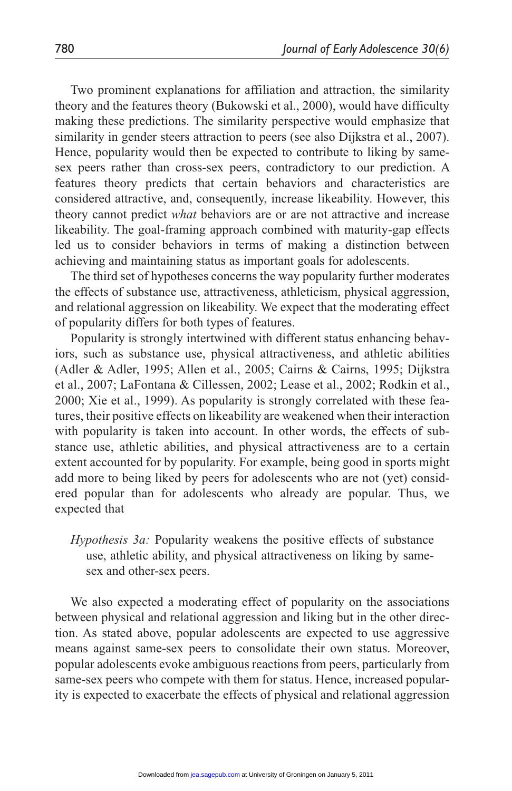Two prominent explanations for affiliation and attraction, the similarity theory and the features theory (Bukowski et al., 2000), would have difficulty making these predictions. The similarity perspective would emphasize that similarity in gender steers attraction to peers (see also Dijkstra et al., 2007). Hence, popularity would then be expected to contribute to liking by samesex peers rather than cross-sex peers, contradictory to our prediction. A features theory predicts that certain behaviors and characteristics are considered attractive, and, consequently, increase likeability. However, this theory cannot predict *what* behaviors are or are not attractive and increase likeability. The goal-framing approach combined with maturity-gap effects led us to consider behaviors in terms of making a distinction between achieving and maintaining status as important goals for adolescents.

The third set of hypotheses concerns the way popularity further moderates the effects of substance use, attractiveness, athleticism, physical aggression, and relational aggression on likeability. We expect that the moderating effect of popularity differs for both types of features.

Popularity is strongly intertwined with different status enhancing behaviors, such as substance use, physical attractiveness, and athletic abilities (Adler & Adler, 1995; Allen et al., 2005; Cairns & Cairns, 1995; Dijkstra et al., 2007; LaFontana & Cillessen, 2002; Lease et al., 2002; Rodkin et al., 2000; Xie et al., 1999). As popularity is strongly correlated with these features, their positive effects on likeability are weakened when their interaction with popularity is taken into account. In other words, the effects of substance use, athletic abilities, and physical attractiveness are to a certain extent accounted for by popularity. For example, being good in sports might add more to being liked by peers for adolescents who are not (yet) considered popular than for adolescents who already are popular. Thus, we expected that

*Hypothesis 3a:* Popularity weakens the positive effects of substance use, athletic ability, and physical attractiveness on liking by samesex and other-sex peers.

We also expected a moderating effect of popularity on the associations between physical and relational aggression and liking but in the other direction. As stated above, popular adolescents are expected to use aggressive means against same-sex peers to consolidate their own status. Moreover, popular adolescents evoke ambiguous reactions from peers, particularly from same-sex peers who compete with them for status. Hence, increased popularity is expected to exacerbate the effects of physical and relational aggression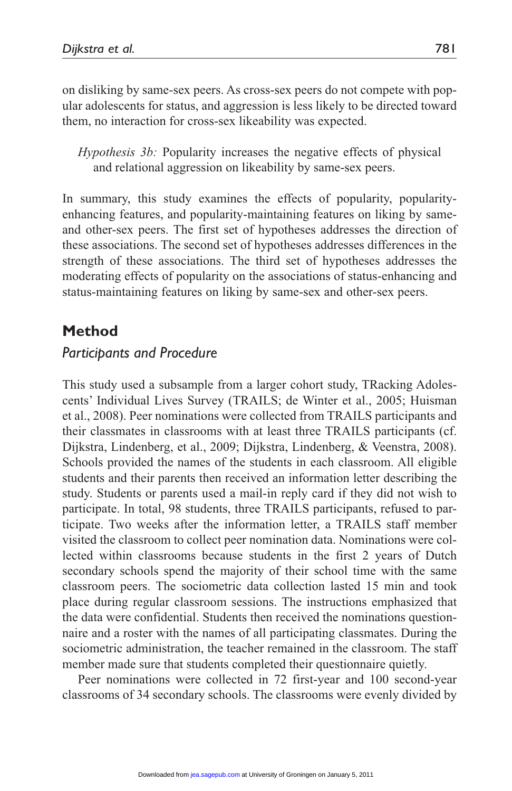on disliking by same-sex peers. As cross-sex peers do not compete with popular adolescents for status, and aggression is less likely to be directed toward them, no interaction for cross-sex likeability was expected.

*Hypothesis 3b:* Popularity increases the negative effects of physical and relational aggression on likeability by same-sex peers.

In summary, this study examines the effects of popularity, popularityenhancing features, and popularity-maintaining features on liking by sameand other-sex peers. The first set of hypotheses addresses the direction of these associations. The second set of hypotheses addresses differences in the strength of these associations. The third set of hypotheses addresses the moderating effects of popularity on the associations of status-enhancing and status-maintaining features on liking by same-sex and other-sex peers.

# **Method**

# *Participants and Procedure*

This study used a subsample from a larger cohort study, TRacking Adolescents' Individual Lives Survey (TRAILS; de Winter et al., 2005; Huisman et al., 2008). Peer nominations were collected from TRAILS participants and their classmates in classrooms with at least three TRAILS participants (cf. Dijkstra, Lindenberg, et al., 2009; Dijkstra, Lindenberg, & Veenstra, 2008). Schools provided the names of the students in each classroom. All eligible students and their parents then received an information letter describing the study. Students or parents used a mail-in reply card if they did not wish to participate. In total, 98 students, three TRAILS participants, refused to participate. Two weeks after the information letter, a TRAILS staff member visited the classroom to collect peer nomination data. Nominations were collected within classrooms because students in the first 2 years of Dutch secondary schools spend the majority of their school time with the same classroom peers. The sociometric data collection lasted 15 min and took place during regular classroom sessions. The instructions emphasized that the data were confidential. Students then received the nominations questionnaire and a roster with the names of all participating classmates. During the sociometric administration, the teacher remained in the classroom. The staff member made sure that students completed their questionnaire quietly.

Peer nominations were collected in 72 first-year and 100 second-year classrooms of 34 secondary schools. The classrooms were evenly divided by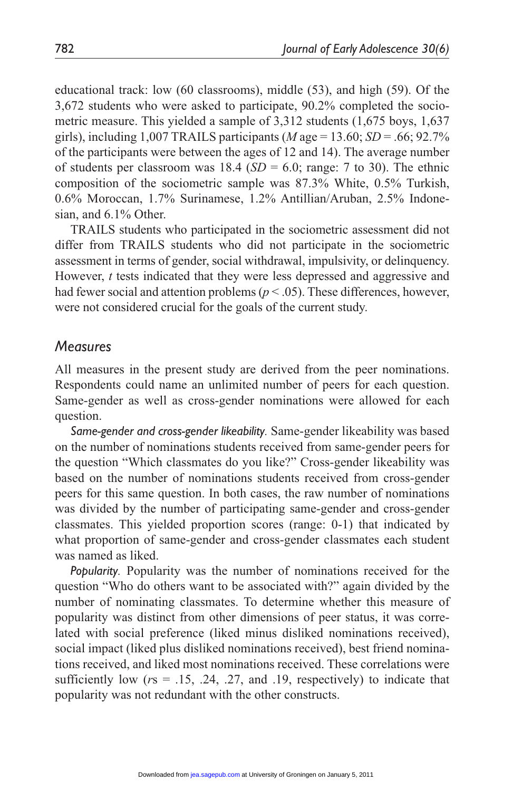educational track: low (60 classrooms), middle (53), and high (59). Of the 3,672 students who were asked to participate, 90.2% completed the sociometric measure. This yielded a sample of 3,312 students (1,675 boys, 1,637 girls), including 1,007 TRAILS participants ( $M$  age = 13.60;  $SD = .66$ ; 92.7% of the participants were between the ages of 12 and 14). The average number of students per classroom was  $18.4$  (*SD* = 6.0; range: 7 to 30). The ethnic composition of the sociometric sample was 87.3% White, 0.5% Turkish, 0.6% Moroccan, 1.7% Surinamese, 1.2% Antillian/Aruban, 2.5% Indonesian, and 6.1% Other.

TRAILS students who participated in the sociometric assessment did not differ from TRAILS students who did not participate in the sociometric assessment in terms of gender, social withdrawal, impulsivity, or delinquency. However, *t* tests indicated that they were less depressed and aggressive and had fewer social and attention problems ( $p < .05$ ). These differences, however, were not considered crucial for the goals of the current study.

## *Measures*

All measures in the present study are derived from the peer nominations. Respondents could name an unlimited number of peers for each question. Same-gender as well as cross-gender nominations were allowed for each question.

*Same-gender and cross-gender likeability.* Same-gender likeability was based on the number of nominations students received from same-gender peers for the question "Which classmates do you like?" Cross-gender likeability was based on the number of nominations students received from cross-gender peers for this same question. In both cases, the raw number of nominations was divided by the number of participating same-gender and cross-gender classmates. This yielded proportion scores (range: 0-1) that indicated by what proportion of same-gender and cross-gender classmates each student was named as liked.

*Popularity.* Popularity was the number of nominations received for the question "Who do others want to be associated with?" again divided by the number of nominating classmates. To determine whether this measure of popularity was distinct from other dimensions of peer status, it was correlated with social preference (liked minus disliked nominations received), social impact (liked plus disliked nominations received), best friend nominations received, and liked most nominations received. These correlations were sufficiently low  $(rs = .15, .24, .27,$  and  $.19$ , respectively) to indicate that popularity was not redundant with the other constructs.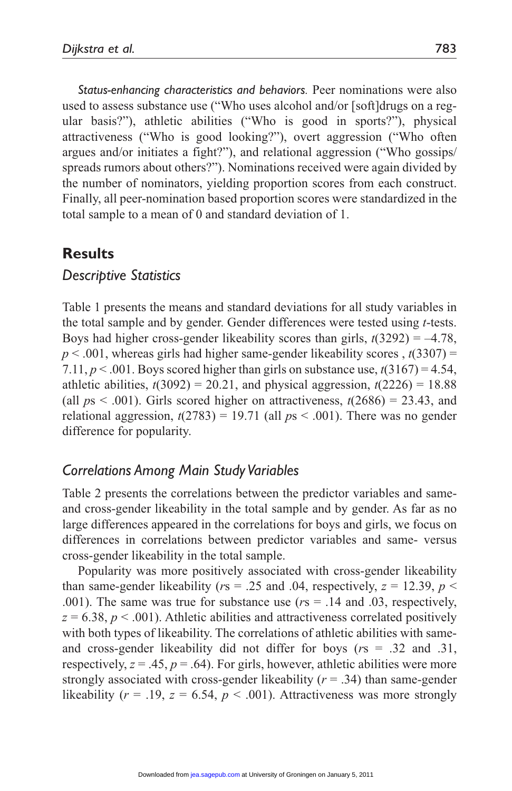*Status-enhancing characteristics and behaviors.* Peer nominations were also used to assess substance use ("Who uses alcohol and/or [soft]drugs on a regular basis?"), athletic abilities ("Who is good in sports?"), physical attractiveness ("Who is good looking?"), overt aggression ("Who often argues and/or initiates a fight?"), and relational aggression ("Who gossips/ spreads rumors about others?"). Nominations received were again divided by the number of nominators, yielding proportion scores from each construct. Finally, all peer-nomination based proportion scores were standardized in the total sample to a mean of 0 and standard deviation of 1.

## **Results**

## *Descriptive Statistics*

Table 1 presents the means and standard deviations for all study variables in the total sample and by gender. Gender differences were tested using *t*-tests. Boys had higher cross-gender likeability scores than girls,  $t(3292) = -4.78$ ,  $p < .001$ , whereas girls had higher same-gender likeability scores ,  $t(3307) =$ 7.11,  $p < .001$ . Boys scored higher than girls on substance use,  $t(3167) = 4.54$ , athletic abilities,  $t(3092) = 20.21$ , and physical aggression,  $t(2226) = 18.88$ (all  $ps < .001$ ). Girls scored higher on attractiveness,  $t(2686) = 23.43$ , and relational aggression,  $t(2783) = 19.71$  (all  $ps < .001$ ). There was no gender difference for popularity.

# *Correlations Among Main Study Variables*

Table 2 presents the correlations between the predictor variables and sameand cross-gender likeability in the total sample and by gender. As far as no large differences appeared in the correlations for boys and girls, we focus on differences in correlations between predictor variables and same- versus cross-gender likeability in the total sample.

Popularity was more positively associated with cross-gender likeability than same-gender likeability ( $rs = .25$  and .04, respectively,  $z = 12.39$ ,  $p <$ .001). The same was true for substance use (*r*s = .14 and .03, respectively,  $z = 6.38$ ,  $p < .001$ ). Athletic abilities and attractiveness correlated positively with both types of likeability. The correlations of athletic abilities with sameand cross-gender likeability did not differ for boys (*r*s = .32 and .31, respectively,  $z = .45$ ,  $p = .64$ ). For girls, however, athletic abilities were more strongly associated with cross-gender likeability  $(r = .34)$  than same-gender likeability ( $r = .19$ ,  $z = 6.54$ ,  $p < .001$ ). Attractiveness was more strongly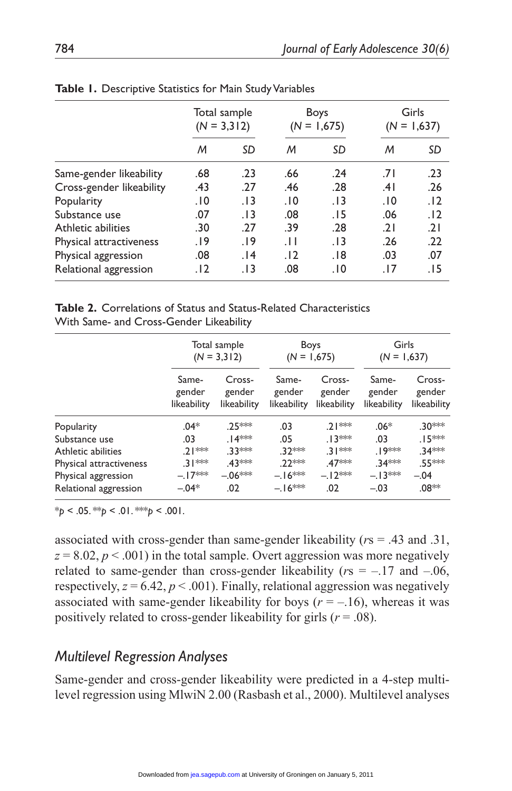|                          | Total sample<br>$(N = 3,312)$ |       |                 | Boys<br>$(N = 1,675)$ | Girls<br>$(N = 1,637)$ |       |
|--------------------------|-------------------------------|-------|-----------------|-----------------------|------------------------|-------|
|                          | M                             | SD    | M               | SD                    | M                      | SD    |
| Same-gender likeability  | .68                           | .23   | .66             | .24                   | ا7.                    | .23   |
| Cross-gender likeability | .43                           | .27   | .46             | .28                   | .41                    | .26   |
| Popularity               | 10.                           | . I 3 | .10             | . I 3                 | 10.                    | .12   |
| Substance use            | .07                           | . I 3 | .08             | . I 5                 | .06                    | .12   |
| Athletic abilities       | .30                           | .27   | .39             | .28                   | .21                    | .21   |
| Physical attractiveness  | 19.                           | .19   | $\overline{11}$ | . I 3                 | .26                    | .22   |
| Physical aggression      | .08                           | 14.   | .12             | . 18                  | .03                    | .07   |
| Relational aggression    | . 12                          | . I 3 | .08             | ۱٥.                   | .17                    | . I 5 |

| Table 1. Descriptive Statistics for Main Study Variables |  |  |
|----------------------------------------------------------|--|--|
|----------------------------------------------------------|--|--|

|                                         |  | <b>Table 2.</b> Correlations of Status and Status-Related Characteristics |  |
|-----------------------------------------|--|---------------------------------------------------------------------------|--|
| With Same- and Cross-Gender Likeability |  |                                                                           |  |

|                         |                                | Total sample<br>$(N = 3,312)$   | <b>Boys</b><br>$(N = 1,675)$   |                                 | Girls<br>$(N = 1,637)$         |                                 |
|-------------------------|--------------------------------|---------------------------------|--------------------------------|---------------------------------|--------------------------------|---------------------------------|
|                         | Same-<br>gender<br>likeability | Cross-<br>gender<br>likeability | Same-<br>gender<br>likeability | Cross-<br>gender<br>likeability | Same-<br>gender<br>likeability | Cross-<br>gender<br>likeability |
| Popularity              | $.04*$                         | 25***                           | .03                            | .2   ***                        | $.06*$                         | .30***                          |
| Substance use           | .03                            | .∣4***                          | .05                            | . । 3 **                        | .03                            | $.15***$                        |
| Athletic abilities      | .2   ***                       | 33***                           | .32 ***                        | $.31***$                        | .19***                         | 34***                           |
| Physical attractiveness | $.31***$                       | 43***                           | 22 **                          | 47***                           | 34***                          | .55***                          |
| Physical aggression     | $-.17***$                      | $-.06***$                       | $-.16***$                      | $-.12***$                       | $-.13***$                      | $-.04$                          |
| Relational aggression   | $-.04*$                        | .02                             | $-.16***$                      | .02                             | $-.03$                         | .08**                           |

 $*_{p}$  < .05.  $*_{p}$  < .01.  $*_{p}$  < .001.

associated with cross-gender than same-gender likeability (*r*s = .43 and .31,  $z = 8.02, p < .001$ ) in the total sample. Overt aggression was more negatively related to same-gender than cross-gender likeability ( $rs = -.17$  and  $-.06$ , respectively,  $z = 6.42$ ,  $p < .001$ ). Finally, relational aggression was negatively associated with same-gender likeability for boys  $(r = -16)$ , whereas it was positively related to cross-gender likeability for girls (*r* = .08).

## *Multilevel Regression Analyses*

Same-gender and cross-gender likeability were predicted in a 4-step multilevel regression using MlwiN 2.00 (Rasbash et al., 2000). Multilevel analyses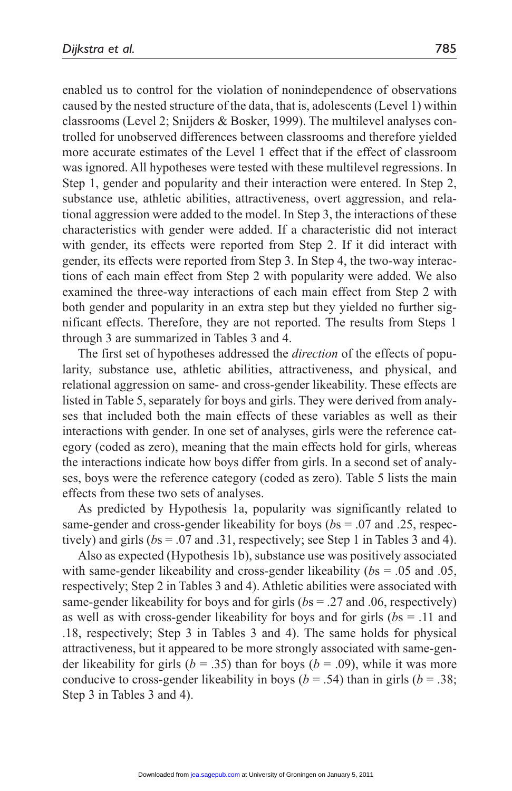enabled us to control for the violation of nonindependence of observations caused by the nested structure of the data, that is, adolescents (Level 1) within classrooms (Level 2; Snijders & Bosker, 1999). The multilevel analyses controlled for unobserved differences between classrooms and therefore yielded more accurate estimates of the Level 1 effect that if the effect of classroom was ignored. All hypotheses were tested with these multilevel regressions. In Step 1, gender and popularity and their interaction were entered. In Step 2, substance use, athletic abilities, attractiveness, overt aggression, and relational aggression were added to the model. In Step 3, the interactions of these characteristics with gender were added. If a characteristic did not interact with gender, its effects were reported from Step 2. If it did interact with gender, its effects were reported from Step 3. In Step 4, the two-way interactions of each main effect from Step 2 with popularity were added. We also examined the three-way interactions of each main effect from Step 2 with both gender and popularity in an extra step but they yielded no further significant effects. Therefore, they are not reported. The results from Steps 1 through 3 are summarized in Tables 3 and 4.

The first set of hypotheses addressed the *direction* of the effects of popularity, substance use, athletic abilities, attractiveness, and physical, and relational aggression on same- and cross-gender likeability. These effects are listed in Table 5, separately for boys and girls. They were derived from analyses that included both the main effects of these variables as well as their interactions with gender. In one set of analyses, girls were the reference category (coded as zero), meaning that the main effects hold for girls, whereas the interactions indicate how boys differ from girls. In a second set of analyses, boys were the reference category (coded as zero). Table 5 lists the main effects from these two sets of analyses.

As predicted by Hypothesis 1a, popularity was significantly related to same-gender and cross-gender likeability for boys (*b*s = .07 and .25, respectively) and girls (*b*s = .07 and .31, respectively; see Step 1 in Tables 3 and 4).

Also as expected (Hypothesis 1b), substance use was positively associated with same-gender likeability and cross-gender likeability (*b*s = .05 and .05, respectively; Step 2 in Tables 3 and 4). Athletic abilities were associated with same-gender likeability for boys and for girls (*b*s = .27 and .06, respectively) as well as with cross-gender likeability for boys and for girls (*b*s = .11 and .18, respectively; Step 3 in Tables 3 and 4). The same holds for physical attractiveness, but it appeared to be more strongly associated with same-gender likeability for girls ( $b = .35$ ) than for boys ( $b = .09$ ), while it was more conducive to cross-gender likeability in boys ( $b = .54$ ) than in girls ( $b = .38$ ; Step 3 in Tables 3 and 4).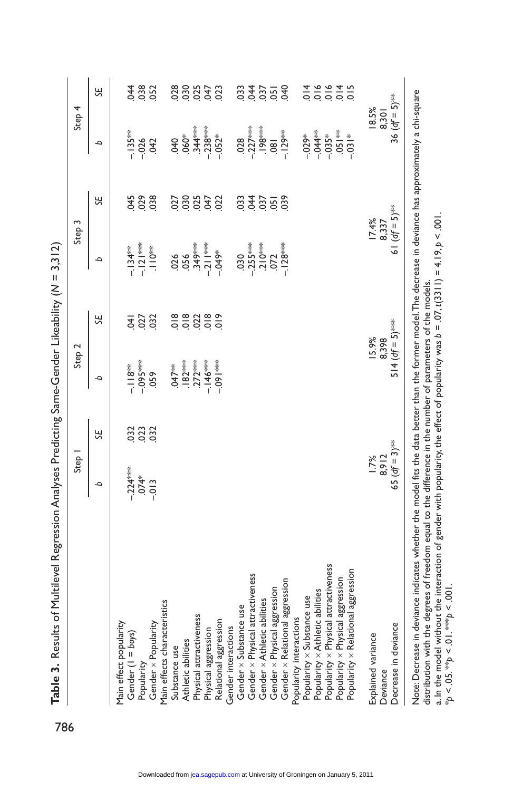|                                      | Step 1                  |     | Step 2                                                                                           |                                                                                     | Step 3                                                                              |                        | Step 4                      |                                                                                                                 |
|--------------------------------------|-------------------------|-----|--------------------------------------------------------------------------------------------------|-------------------------------------------------------------------------------------|-------------------------------------------------------------------------------------|------------------------|-----------------------------|-----------------------------------------------------------------------------------------------------------------|
|                                      | م                       | SE, | م                                                                                                | SΕ                                                                                  | م                                                                                   | 닍                      | م                           | SE,                                                                                                             |
| Main effect popularity               |                         |     |                                                                                                  |                                                                                     |                                                                                     |                        |                             |                                                                                                                 |
| Gender (1 = boys)                    |                         |     |                                                                                                  |                                                                                     | $-134$ <sup>**</sup>                                                                |                        | $-135**$                    | <b>044</b>                                                                                                      |
| Popularity                           | $-224***$<br>$-074*$    | 333 | –.II8 <sup>≱</sup> *<br>–.095***                                                                 | $rac{41}{627}$                                                                      | $-121***$                                                                           | 0.05                   | $-0.026$                    | .038                                                                                                            |
| Gender x Popularity                  | $-013$                  |     | 059                                                                                              | 032                                                                                 | $\sum_{i=1}^{\frac{1}{N}}$                                                          | 038                    | 042                         | 052                                                                                                             |
| Main effects characteristics         |                         |     |                                                                                                  |                                                                                     |                                                                                     |                        |                             |                                                                                                                 |
| Substance use                        |                         |     | $.047**$                                                                                         |                                                                                     | 026                                                                                 | 027                    | 040                         | 028                                                                                                             |
| Athletic abilities                   |                         |     | $\begin{array}{r} . & 82^{***} \\ . & 272^{***} \\ . & -146^{***} \\ . & -091^{***} \end{array}$ | $\frac{8}{9}$ $\frac{8}{9}$ $\frac{8}{9}$ $\frac{8}{9}$ $\frac{8}{9}$ $\frac{6}{9}$ | $-349$<br>$-211$<br>$-049$<br>$-049$                                                | 88338                  | $060*$                      | 88358                                                                                                           |
| Physical attractiveness              |                         |     |                                                                                                  |                                                                                     |                                                                                     |                        | $.344***$                   |                                                                                                                 |
| Physical aggression                  |                         |     |                                                                                                  |                                                                                     |                                                                                     |                        | $-238***$<br>$-052*$        |                                                                                                                 |
| Relational aggression                |                         |     |                                                                                                  |                                                                                     |                                                                                     |                        |                             |                                                                                                                 |
| Gender interactions                  |                         |     |                                                                                                  |                                                                                     |                                                                                     |                        |                             |                                                                                                                 |
| Gender x Substance use               |                         |     |                                                                                                  |                                                                                     |                                                                                     |                        | $-227$                      | 033                                                                                                             |
| Gender x Physical attractiveness     |                         |     |                                                                                                  |                                                                                     |                                                                                     |                        |                             |                                                                                                                 |
| Gender x Athletic abilities          |                         |     |                                                                                                  |                                                                                     |                                                                                     |                        | $.198***$                   |                                                                                                                 |
| Gender x Physical aggression         |                         |     |                                                                                                  |                                                                                     | $\begin{array}{r} .030 \\ -255^{***} \\ 210^{***} \\ 072 \\ -128^{***} \end{array}$ | 34828                  | $\overline{80}$             | $\frac{2}{3}$ $\frac{6}{2}$ $\frac{6}{2}$ $\frac{6}{3}$                                                         |
| Gender x Relational aggression       |                         |     |                                                                                                  |                                                                                     |                                                                                     |                        | $-129**$                    |                                                                                                                 |
| Popularity interactions              |                         |     |                                                                                                  |                                                                                     |                                                                                     |                        |                             |                                                                                                                 |
| Popularity x Substance use           |                         |     |                                                                                                  |                                                                                     |                                                                                     |                        | $-0.02$ <sup>*</sup>        |                                                                                                                 |
| Popularity x Athletic abilities      |                         |     |                                                                                                  |                                                                                     |                                                                                     |                        | $-0.44**$                   |                                                                                                                 |
| Popularity x Physical attractiveness |                         |     |                                                                                                  |                                                                                     |                                                                                     |                        | $-0.35*$                    |                                                                                                                 |
| Popularity × Physical aggression     |                         |     |                                                                                                  |                                                                                     |                                                                                     |                        | $-651$                      | $\frac{1}{4}$ $\frac{1}{6}$ $\frac{1}{6}$ $\frac{1}{6}$ $\frac{1}{6}$ $\frac{1}{6}$ $\frac{1}{6}$ $\frac{1}{6}$ |
| Popularity x Relational aggression   |                         |     |                                                                                                  |                                                                                     |                                                                                     |                        | $-0.31*$                    |                                                                                                                 |
| Explained variance                   | $\frac{1.7\%}{8.9\ 12}$ |     | 15.9%                                                                                            |                                                                                     |                                                                                     | $\frac{17.4\%}{8.337}$ | 18.5%                       |                                                                                                                 |
| Deviance                             |                         |     | 8,398                                                                                            |                                                                                     |                                                                                     |                        | 8,301                       |                                                                                                                 |
| Decrease in deviance                 | 65 ( $df = 3$ )***      |     | $514 (df = 5)$ <sup>***</sup>                                                                    |                                                                                     | 61 ( $df = 5$ ) <sup>**</sup>                                                       |                        | 36 $(df = 5)$ <sup>**</sup> |                                                                                                                 |

Note: Decrease in deviance indicates whether the model fits the data better than the former model.The decrease in deviance has approximately a chi-square<br>distribution with the degrees of freedom equal to the difference in Note: Decrease in deviance indicates whether the model fits the data better than the former model. The decrease in deviance has approximately a chi-square a. In the model without the interaction of gender with popularity, the effect of popularity was *b* = .07, *t*(3311) = 4.19, *p* < .001. distribution with the degrees of freedom equal to the difference in the number of parameters of the models.

\**p* < .05. \*\**p* < .01. \*\*\**p* < .001.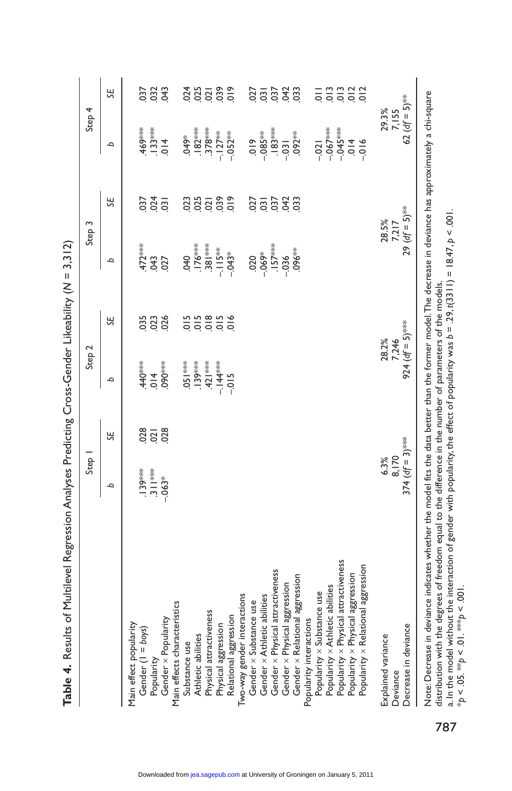| Main effect popularity<br>Gender (I = boys) |                    | Step I | Step <sub>2</sub>                               |                                                                                           | Step <sub>3</sub>                                       |                | Step 4                                         |                                                                                                   |
|---------------------------------------------|--------------------|--------|-------------------------------------------------|-------------------------------------------------------------------------------------------|---------------------------------------------------------|----------------|------------------------------------------------|---------------------------------------------------------------------------------------------------|
|                                             | ٩                  | SE     | م                                               | SE                                                                                        | ٩                                                       | SE             | م                                              | SE                                                                                                |
|                                             |                    |        |                                                 |                                                                                           |                                                         |                |                                                |                                                                                                   |
|                                             |                    |        | $\frac{440}{300}$<br>$\frac{440}{300}$          | 035                                                                                       |                                                         | 037            | $469***$<br>$-13***$<br>$-13***$               | .037                                                                                              |
| Popularity                                  |                    |        |                                                 | 023                                                                                       |                                                         |                |                                                | $032$<br>$043$                                                                                    |
| Gender x Popularity                         |                    |        |                                                 |                                                                                           | $\frac{472***}{043}$<br>043                             | $rac{24}{031}$ |                                                |                                                                                                   |
| Main effects characteristics                |                    |        |                                                 |                                                                                           |                                                         |                |                                                |                                                                                                   |
| Substance use                               |                    |        |                                                 |                                                                                           |                                                         |                | \$670.                                         |                                                                                                   |
| Athletic abilities                          |                    |        |                                                 |                                                                                           |                                                         |                |                                                |                                                                                                   |
| Physical attractiveness                     |                    |        |                                                 |                                                                                           |                                                         |                |                                                |                                                                                                   |
| Physical aggression                         |                    |        | $-1051***$<br>$-139***$<br>$-144***$<br>$-1015$ | $\frac{15}{2}$ $\frac{15}{2}$ $\frac{15}{2}$ $\frac{15}{2}$ $\frac{15}{2}$ $\frac{15}{2}$ |                                                         | 33333          |                                                | $\frac{1}{2}$ $\frac{1}{2}$ $\frac{1}{2}$ $\frac{1}{2}$ $\frac{1}{2}$ $\frac{1}{2}$ $\frac{1}{2}$ |
| Relational aggression                       |                    |        |                                                 |                                                                                           | $-176$<br>$-176$<br>$-15$<br>$-115$<br>$-143$<br>$-143$ |                | $.182***\n.378***\n-.127***\n-.052***$         |                                                                                                   |
| Two-way gender interactions                 |                    |        |                                                 |                                                                                           |                                                         |                |                                                |                                                                                                   |
| Gender x Substance use                      |                    |        |                                                 |                                                                                           |                                                         |                |                                                |                                                                                                   |
| Gender x Athletic abilities                 |                    |        |                                                 |                                                                                           |                                                         |                |                                                |                                                                                                   |
| Gender x Physical attractiveness            |                    |        |                                                 |                                                                                           | 020<br>069*<br>057***<br>096**                          | 35333          | $019$<br>-085**<br>-031<br>-031                | $\frac{5}{9}$ $\frac{2}{9}$ $\frac{2}{9}$ $\frac{2}{9}$                                           |
| Gender x Physical aggression                |                    |        |                                                 |                                                                                           |                                                         |                |                                                |                                                                                                   |
| Gender x Relational aggression              |                    |        |                                                 |                                                                                           |                                                         |                | $.092**$                                       | 033                                                                                               |
| Popularity interactions                     |                    |        |                                                 |                                                                                           |                                                         |                |                                                |                                                                                                   |
| Popularity x Substance use                  |                    |        |                                                 |                                                                                           |                                                         |                | $-021$                                         |                                                                                                   |
| Popularity x Athletic abilities             |                    |        |                                                 |                                                                                           |                                                         |                |                                                |                                                                                                   |
| Popularity x Physical attractiveness        |                    |        |                                                 |                                                                                           |                                                         |                |                                                |                                                                                                   |
| Popularity × Physical aggression            |                    |        |                                                 |                                                                                           |                                                         |                | $-067$<br>$-045$<br>$-045$<br>$-014$<br>$-016$ | <u>= = = = = =</u>                                                                                |
| Popularity x Relational aggression          |                    |        |                                                 |                                                                                           |                                                         |                |                                                |                                                                                                   |
| Explained variance                          | $6.3%$<br>8.170    |        | 28.2%<br>7,246                                  |                                                                                           | 28.5%<br>7,217                                          |                | 29.3%<br>7, IS5                                |                                                                                                   |
| Deviance                                    |                    |        |                                                 |                                                                                           |                                                         |                |                                                |                                                                                                   |
| Decrease in deviance                        | $374 (df = 3)$ *** |        | 924 ( $df = 5$ )***                             |                                                                                           | 29 $(df = 5)$ <sup>**</sup>                             |                | 62 ( $df = 5$ )**                              |                                                                                                   |

**Table 4.** Results of Multilevel Regression Analyses Predicting Cross-Gender Likeability ( Table 4. Results of Multilevel Regression Analyses Predicting Cross-Gender Likeability (N = 3.312)

Note: Decrease in deviance indicates whether the model fits the data better than the former model. The decrease in deviance has approximately a chi-square Note: Decrease in deviance indicates whether the model fits the data better than the former model. The decrease in deviance has approximately a chi-square distribution with the degrees of freedom equal to the difference in the number of parameters of the models. distribution with the degrees of freedom equal to the difference in the number of parameters of the models.

a. In the model without the interaction of gender with popularity, the effect of popularity was  $b = 29$ , t(3311) = 18.47, p < .001. a. In the model without the interaction of gender with popularity, the effect of popularity was *b* = .29, *t*(3311) = 18.47, *p* < .001.  $\gamma_p < .05$ ,  $\gamma_p > .01$ ,  $\gamma_p > .001$ . \**p* < .05. \*\**p* < .01. \*\*\**p* < .001.

787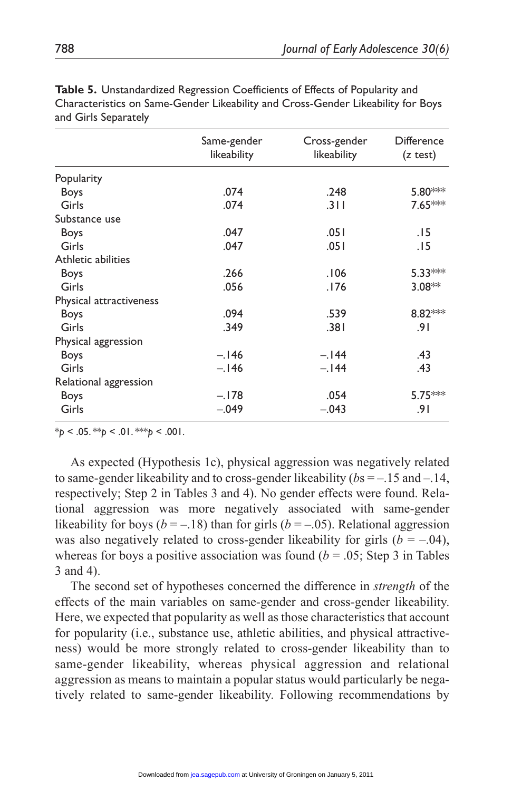| Same-gender<br>likeability | Cross-gender<br>likeability | <b>Difference</b><br>(z test) |
|----------------------------|-----------------------------|-------------------------------|
|                            |                             |                               |
| .074                       | .248                        | 5.80***                       |
| .074                       | .311                        | 7.65***                       |
|                            |                             |                               |
| .047                       | .051                        | .15                           |
| .047                       | .051                        | .15                           |
|                            |                             |                               |
| .266                       | .106                        | 5.33***                       |
| .056                       | .176                        | $3.08**$                      |
|                            |                             |                               |
| .094                       | .539                        | 8.82 **                       |
| .349                       | .381                        | .91                           |
|                            |                             |                               |
| $-.146$                    | $-.144$                     | .43                           |
| $-.146$                    | $-.144$                     | .43                           |
|                            |                             |                               |
| $-.178$                    | .054                        | 5.75***                       |
| $-.049$                    | $-.043$                     | 9۱.                           |
|                            |                             |                               |

**Table 5.** Unstandardized Regression Coefficients of Effects of Popularity and Characteristics on Same-Gender Likeability and Cross-Gender Likeability for Boys and Girls Separately

 $*_{p}$  < .05.  $*_{p}$  < .01.  $*_{p}$  < .001.

As expected (Hypothesis 1c), physical aggression was negatively related to same-gender likeability and to cross-gender likeability (*b*s = –.15 and –.14, respectively; Step 2 in Tables 3 and 4). No gender effects were found. Relational aggression was more negatively associated with same-gender likeability for boys ( $b = -.18$ ) than for girls ( $b = -.05$ ). Relational aggression was also negatively related to cross-gender likeability for girls  $(b = -.04)$ , whereas for boys a positive association was found  $(b = .05;$  Step 3 in Tables 3 and 4).

The second set of hypotheses concerned the difference in *strength* of the effects of the main variables on same-gender and cross-gender likeability. Here, we expected that popularity as well as those characteristics that account for popularity (i.e., substance use, athletic abilities, and physical attractiveness) would be more strongly related to cross-gender likeability than to same-gender likeability, whereas physical aggression and relational aggression as means to maintain a popular status would particularly be negatively related to same-gender likeability. Following recommendations by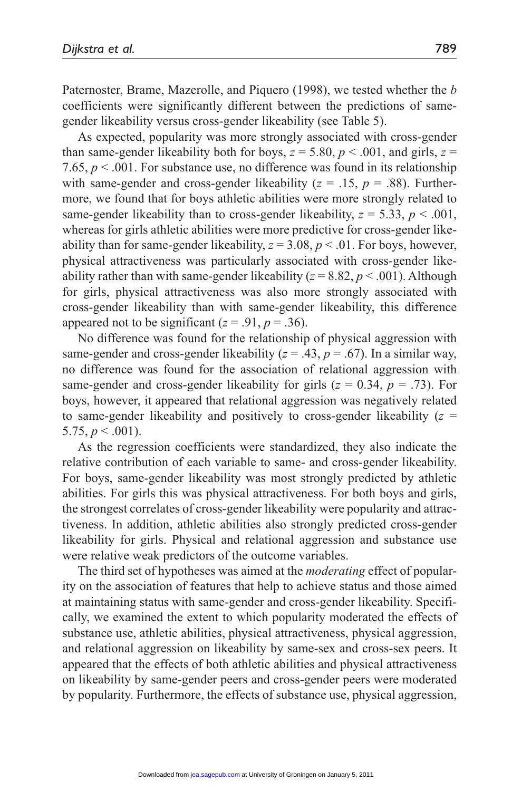Paternoster, Brame, Mazerolle, and Piquero (1998), we tested whether the *b*  coefficients were significantly different between the predictions of samegender likeability versus cross-gender likeability (see Table 5).

As expected, popularity was more strongly associated with cross-gender than same-gender likeability both for boys,  $z = 5.80$ ,  $p < .001$ , and girls,  $z =$ 7.65,  $p < .001$ . For substance use, no difference was found in its relationship with same-gender and cross-gender likeability ( $z = .15$ ,  $p = .88$ ). Furthermore, we found that for boys athletic abilities were more strongly related to same-gender likeability than to cross-gender likeability,  $z = 5.33$ ,  $p < .001$ , whereas for girls athletic abilities were more predictive for cross-gender likeability than for same-gender likeability,  $z = 3.08$ ,  $p < .01$ . For boys, however, physical attractiveness was particularly associated with cross-gender likeability rather than with same-gender likeability  $(z = 8.82, p < .001)$ . Although for girls, physical attractiveness was also more strongly associated with cross-gender likeability than with same-gender likeability, this difference appeared not to be significant ( $z = .91$ ,  $p = .36$ ).

No difference was found for the relationship of physical aggression with same-gender and cross-gender likeability  $(z = .43, p = .67)$ . In a similar way, no difference was found for the association of relational aggression with same-gender and cross-gender likeability for girls ( $z = 0.34$ ,  $p = .73$ ). For boys, however, it appeared that relational aggression was negatively related to same-gender likeability and positively to cross-gender likeability (*z* = 5.75,  $p < .001$ ).

As the regression coefficients were standardized, they also indicate the relative contribution of each variable to same- and cross-gender likeability. For boys, same-gender likeability was most strongly predicted by athletic abilities. For girls this was physical attractiveness. For both boys and girls, the strongest correlates of cross-gender likeability were popularity and attractiveness. In addition, athletic abilities also strongly predicted cross-gender likeability for girls. Physical and relational aggression and substance use were relative weak predictors of the outcome variables.

The third set of hypotheses was aimed at the *moderating* effect of popularity on the association of features that help to achieve status and those aimed at maintaining status with same-gender and cross-gender likeability. Specifically, we examined the extent to which popularity moderated the effects of substance use, athletic abilities, physical attractiveness, physical aggression, and relational aggression on likeability by same-sex and cross-sex peers. It appeared that the effects of both athletic abilities and physical attractiveness on likeability by same-gender peers and cross-gender peers were moderated by popularity. Furthermore, the effects of substance use, physical aggression,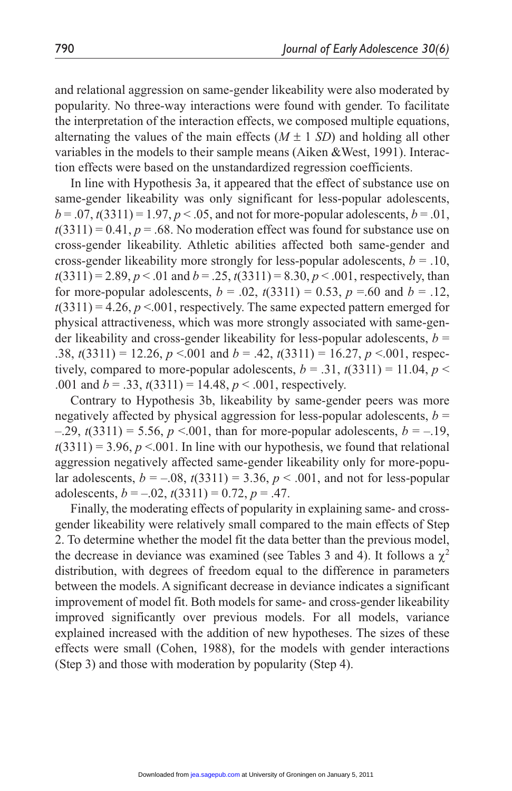and relational aggression on same-gender likeability were also moderated by popularity. No three-way interactions were found with gender. To facilitate the interpretation of the interaction effects, we composed multiple equations, alternating the values of the main effects  $(M \pm 1 \, SD)$  and holding all other variables in the models to their sample means (Aiken &West, 1991). Interaction effects were based on the unstandardized regression coefficients.

In line with Hypothesis 3a, it appeared that the effect of substance use on same-gender likeability was only significant for less-popular adolescents,  $b = .07$ ,  $t(3311) = 1.97$ ,  $p < .05$ , and not for more-popular adolescents,  $b = .01$ ,  $t(3311) = 0.41$ ,  $p = .68$ . No moderation effect was found for substance use on cross-gender likeability. Athletic abilities affected both same-gender and cross-gender likeability more strongly for less-popular adolescents,  $b = .10$ ,  $t(3311) = 2.89, p < .01$  and  $b = .25, t(3311) = 8.30, p < .001$ , respectively, than for more-popular adolescents,  $b = .02$ ,  $t(3311) = 0.53$ ,  $p = .60$  and  $b = .12$ ,  $t(3311) = 4.26$ ,  $p < 0.001$ , respectively. The same expected pattern emerged for physical attractiveness, which was more strongly associated with same-gender likeability and cross-gender likeability for less-popular adolescents, *b* = .38,  $t(3311) = 12.26$ ,  $p < .001$  and  $b = .42$ ,  $t(3311) = 16.27$ ,  $p < .001$ , respectively, compared to more-popular adolescents,  $b = .31$ ,  $t(3311) = 11.04$ ,  $p <$ .001 and  $b = .33$ ,  $t(3311) = 14.48$ ,  $p < .001$ , respectively.

Contrary to Hypothesis 3b, likeability by same-gender peers was more negatively affected by physical aggression for less-popular adolescents,  $b =$  $-0.29$ ,  $t(3311) = 5.56$ ,  $p \le 0.001$ , than for more-popular adolescents,  $b = -0.19$ ,  $t(3311) = 3.96$ ,  $p < 0.001$ . In line with our hypothesis, we found that relational aggression negatively affected same-gender likeability only for more-popular adolescents,  $b = -.08$ ,  $t(3311) = 3.36$ ,  $p < .001$ , and not for less-popular adolescents,  $b = -.02$ ,  $t(3311) = 0.72$ ,  $p = .47$ .

Finally, the moderating effects of popularity in explaining same- and crossgender likeability were relatively small compared to the main effects of Step 2. To determine whether the model fit the data better than the previous model, the decrease in deviance was examined (see Tables 3 and 4). It follows a  $\gamma^2$ distribution, with degrees of freedom equal to the difference in parameters between the models. A significant decrease in deviance indicates a significant improvement of model fit. Both models for same- and cross-gender likeability improved significantly over previous models. For all models, variance explained increased with the addition of new hypotheses. The sizes of these effects were small (Cohen, 1988), for the models with gender interactions (Step 3) and those with moderation by popularity (Step 4).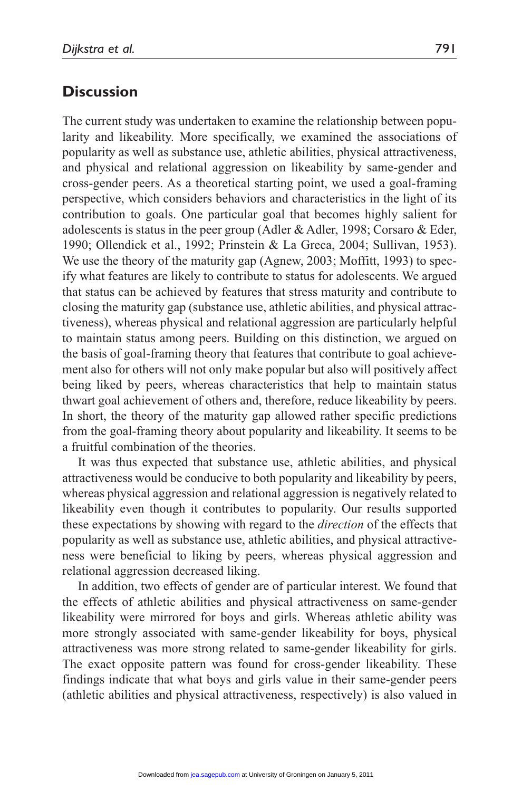# **Discussion**

The current study was undertaken to examine the relationship between popularity and likeability. More specifically, we examined the associations of popularity as well as substance use, athletic abilities, physical attractiveness, and physical and relational aggression on likeability by same-gender and cross-gender peers. As a theoretical starting point, we used a goal-framing perspective, which considers behaviors and characteristics in the light of its contribution to goals. One particular goal that becomes highly salient for adolescents is status in the peer group (Adler & Adler, 1998; Corsaro & Eder, 1990; Ollendick et al., 1992; Prinstein & La Greca, 2004; Sullivan, 1953). We use the theory of the maturity gap (Agnew, 2003; Moffitt, 1993) to specify what features are likely to contribute to status for adolescents. We argued that status can be achieved by features that stress maturity and contribute to closing the maturity gap (substance use, athletic abilities, and physical attractiveness), whereas physical and relational aggression are particularly helpful to maintain status among peers. Building on this distinction, we argued on the basis of goal-framing theory that features that contribute to goal achievement also for others will not only make popular but also will positively affect being liked by peers, whereas characteristics that help to maintain status thwart goal achievement of others and, therefore, reduce likeability by peers. In short, the theory of the maturity gap allowed rather specific predictions from the goal-framing theory about popularity and likeability. It seems to be a fruitful combination of the theories.

It was thus expected that substance use, athletic abilities, and physical attractiveness would be conducive to both popularity and likeability by peers, whereas physical aggression and relational aggression is negatively related to likeability even though it contributes to popularity. Our results supported these expectations by showing with regard to the *direction* of the effects that popularity as well as substance use, athletic abilities, and physical attractiveness were beneficial to liking by peers, whereas physical aggression and relational aggression decreased liking.

In addition, two effects of gender are of particular interest. We found that the effects of athletic abilities and physical attractiveness on same-gender likeability were mirrored for boys and girls. Whereas athletic ability was more strongly associated with same-gender likeability for boys, physical attractiveness was more strong related to same-gender likeability for girls. The exact opposite pattern was found for cross-gender likeability. These findings indicate that what boys and girls value in their same-gender peers (athletic abilities and physical attractiveness, respectively) is also valued in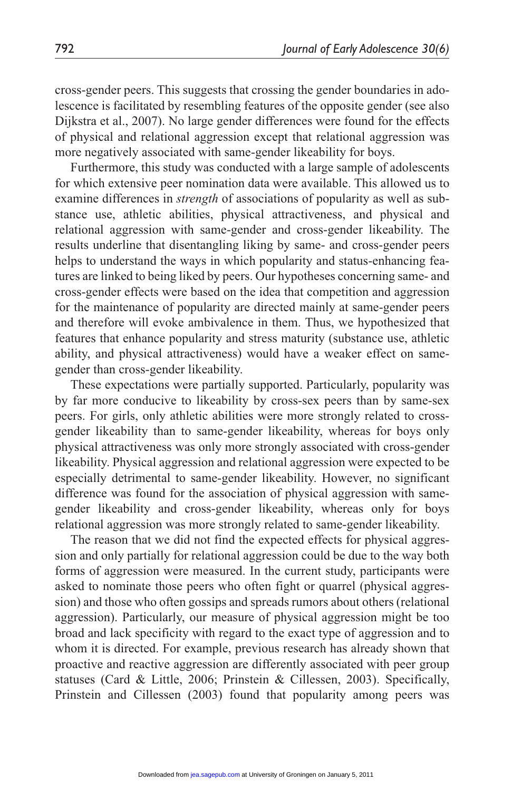cross-gender peers. This suggests that crossing the gender boundaries in adolescence is facilitated by resembling features of the opposite gender (see also Dijkstra et al., 2007). No large gender differences were found for the effects of physical and relational aggression except that relational aggression was more negatively associated with same-gender likeability for boys.

Furthermore, this study was conducted with a large sample of adolescents for which extensive peer nomination data were available. This allowed us to examine differences in *strength* of associations of popularity as well as substance use, athletic abilities, physical attractiveness, and physical and relational aggression with same-gender and cross-gender likeability. The results underline that disentangling liking by same- and cross-gender peers helps to understand the ways in which popularity and status-enhancing features are linked to being liked by peers. Our hypotheses concerning same- and cross-gender effects were based on the idea that competition and aggression for the maintenance of popularity are directed mainly at same-gender peers and therefore will evoke ambivalence in them. Thus, we hypothesized that features that enhance popularity and stress maturity (substance use, athletic ability, and physical attractiveness) would have a weaker effect on samegender than cross-gender likeability.

These expectations were partially supported. Particularly, popularity was by far more conducive to likeability by cross-sex peers than by same-sex peers. For girls, only athletic abilities were more strongly related to crossgender likeability than to same-gender likeability, whereas for boys only physical attractiveness was only more strongly associated with cross-gender likeability. Physical aggression and relational aggression were expected to be especially detrimental to same-gender likeability. However, no significant difference was found for the association of physical aggression with samegender likeability and cross-gender likeability, whereas only for boys relational aggression was more strongly related to same-gender likeability.

The reason that we did not find the expected effects for physical aggression and only partially for relational aggression could be due to the way both forms of aggression were measured. In the current study, participants were asked to nominate those peers who often fight or quarrel (physical aggression) and those who often gossips and spreads rumors about others (relational aggression). Particularly, our measure of physical aggression might be too broad and lack specificity with regard to the exact type of aggression and to whom it is directed. For example, previous research has already shown that proactive and reactive aggression are differently associated with peer group statuses (Card & Little, 2006; Prinstein & Cillessen, 2003). Specifically, Prinstein and Cillessen (2003) found that popularity among peers was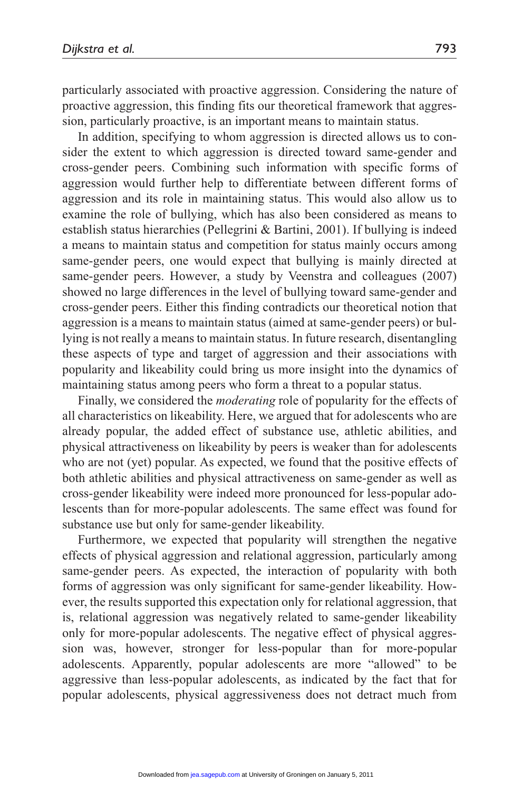particularly associated with proactive aggression. Considering the nature of proactive aggression, this finding fits our theoretical framework that aggression, particularly proactive, is an important means to maintain status.

In addition, specifying to whom aggression is directed allows us to consider the extent to which aggression is directed toward same-gender and cross-gender peers. Combining such information with specific forms of aggression would further help to differentiate between different forms of aggression and its role in maintaining status. This would also allow us to examine the role of bullying, which has also been considered as means to establish status hierarchies (Pellegrini & Bartini, 2001). If bullying is indeed a means to maintain status and competition for status mainly occurs among same-gender peers, one would expect that bullying is mainly directed at same-gender peers. However, a study by Veenstra and colleagues (2007) showed no large differences in the level of bullying toward same-gender and cross-gender peers. Either this finding contradicts our theoretical notion that aggression is a means to maintain status (aimed at same-gender peers) or bullying is not really a means to maintain status. In future research, disentangling these aspects of type and target of aggression and their associations with popularity and likeability could bring us more insight into the dynamics of maintaining status among peers who form a threat to a popular status.

Finally, we considered the *moderating* role of popularity for the effects of all characteristics on likeability. Here, we argued that for adolescents who are already popular, the added effect of substance use, athletic abilities, and physical attractiveness on likeability by peers is weaker than for adolescents who are not (yet) popular. As expected, we found that the positive effects of both athletic abilities and physical attractiveness on same-gender as well as cross-gender likeability were indeed more pronounced for less-popular adolescents than for more-popular adolescents. The same effect was found for substance use but only for same-gender likeability.

Furthermore, we expected that popularity will strengthen the negative effects of physical aggression and relational aggression, particularly among same-gender peers. As expected, the interaction of popularity with both forms of aggression was only significant for same-gender likeability. However, the results supported this expectation only for relational aggression, that is, relational aggression was negatively related to same-gender likeability only for more-popular adolescents. The negative effect of physical aggression was, however, stronger for less-popular than for more-popular adolescents. Apparently, popular adolescents are more "allowed" to be aggressive than less-popular adolescents, as indicated by the fact that for popular adolescents, physical aggressiveness does not detract much from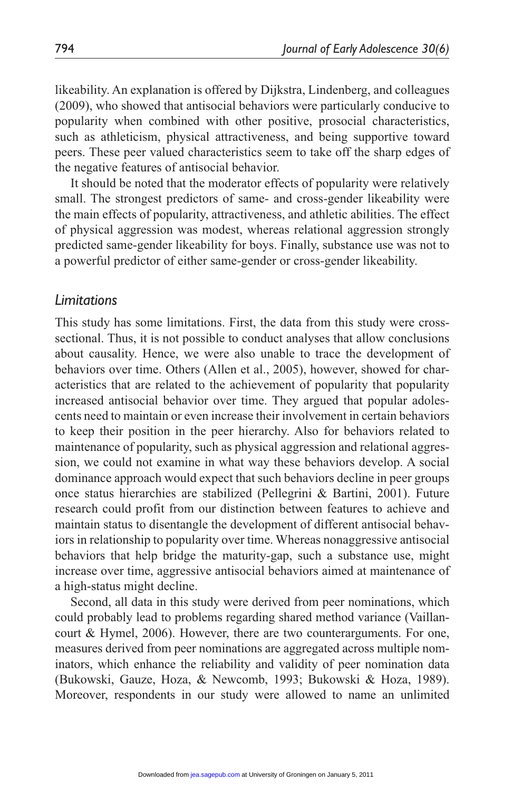likeability. An explanation is offered by Dijkstra, Lindenberg, and colleagues (2009), who showed that antisocial behaviors were particularly conducive to popularity when combined with other positive, prosocial characteristics, such as athleticism, physical attractiveness, and being supportive toward peers. These peer valued characteristics seem to take off the sharp edges of the negative features of antisocial behavior.

It should be noted that the moderator effects of popularity were relatively small. The strongest predictors of same- and cross-gender likeability were the main effects of popularity, attractiveness, and athletic abilities. The effect of physical aggression was modest, whereas relational aggression strongly predicted same-gender likeability for boys. Finally, substance use was not to a powerful predictor of either same-gender or cross-gender likeability.

## *Limitations*

This study has some limitations. First, the data from this study were crosssectional. Thus, it is not possible to conduct analyses that allow conclusions about causality. Hence, we were also unable to trace the development of behaviors over time. Others (Allen et al., 2005), however, showed for characteristics that are related to the achievement of popularity that popularity increased antisocial behavior over time. They argued that popular adolescents need to maintain or even increase their involvement in certain behaviors to keep their position in the peer hierarchy. Also for behaviors related to maintenance of popularity, such as physical aggression and relational aggression, we could not examine in what way these behaviors develop. A social dominance approach would expect that such behaviors decline in peer groups once status hierarchies are stabilized (Pellegrini & Bartini, 2001). Future research could profit from our distinction between features to achieve and maintain status to disentangle the development of different antisocial behaviors in relationship to popularity over time. Whereas nonaggressive antisocial behaviors that help bridge the maturity-gap, such a substance use, might increase over time, aggressive antisocial behaviors aimed at maintenance of a high-status might decline.

Second, all data in this study were derived from peer nominations, which could probably lead to problems regarding shared method variance (Vaillancourt & Hymel, 2006). However, there are two counterarguments. For one, measures derived from peer nominations are aggregated across multiple nominators, which enhance the reliability and validity of peer nomination data (Bukowski, Gauze, Hoza, & Newcomb, 1993; Bukowski & Hoza, 1989). Moreover, respondents in our study were allowed to name an unlimited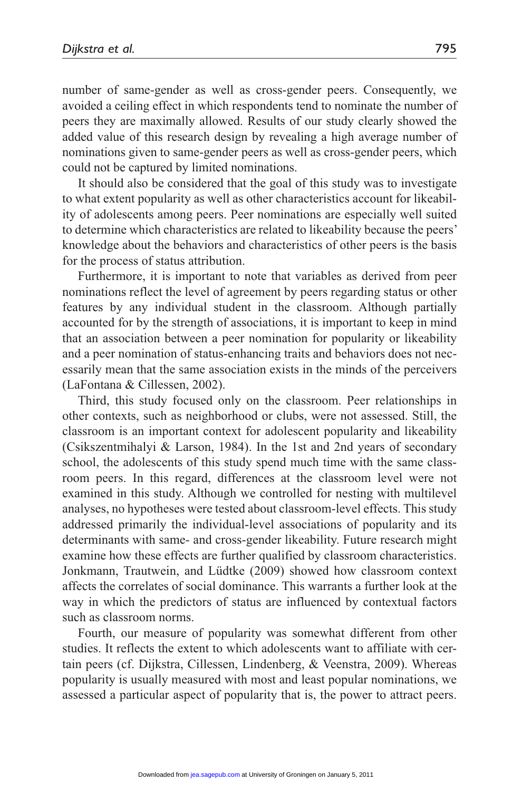number of same-gender as well as cross-gender peers. Consequently, we avoided a ceiling effect in which respondents tend to nominate the number of peers they are maximally allowed. Results of our study clearly showed the added value of this research design by revealing a high average number of nominations given to same-gender peers as well as cross-gender peers, which could not be captured by limited nominations.

It should also be considered that the goal of this study was to investigate to what extent popularity as well as other characteristics account for likeability of adolescents among peers. Peer nominations are especially well suited to determine which characteristics are related to likeability because the peers' knowledge about the behaviors and characteristics of other peers is the basis for the process of status attribution.

Furthermore, it is important to note that variables as derived from peer nominations reflect the level of agreement by peers regarding status or other features by any individual student in the classroom. Although partially accounted for by the strength of associations, it is important to keep in mind that an association between a peer nomination for popularity or likeability and a peer nomination of status-enhancing traits and behaviors does not necessarily mean that the same association exists in the minds of the perceivers (LaFontana & Cillessen, 2002).

Third, this study focused only on the classroom. Peer relationships in other contexts, such as neighborhood or clubs, were not assessed. Still, the classroom is an important context for adolescent popularity and likeability (Csikszentmihalyi  $\&$  Larson, 1984). In the 1st and 2nd years of secondary school, the adolescents of this study spend much time with the same classroom peers. In this regard, differences at the classroom level were not examined in this study. Although we controlled for nesting with multilevel analyses, no hypotheses were tested about classroom-level effects. This study addressed primarily the individual-level associations of popularity and its determinants with same- and cross-gender likeability. Future research might examine how these effects are further qualified by classroom characteristics. Jonkmann, Trautwein, and Lüdtke (2009) showed how classroom context affects the correlates of social dominance. This warrants a further look at the way in which the predictors of status are influenced by contextual factors such as classroom norms.

Fourth, our measure of popularity was somewhat different from other studies. It reflects the extent to which adolescents want to affiliate with certain peers (cf. Dijkstra, Cillessen, Lindenberg, & Veenstra, 2009). Whereas popularity is usually measured with most and least popular nominations, we assessed a particular aspect of popularity that is, the power to attract peers.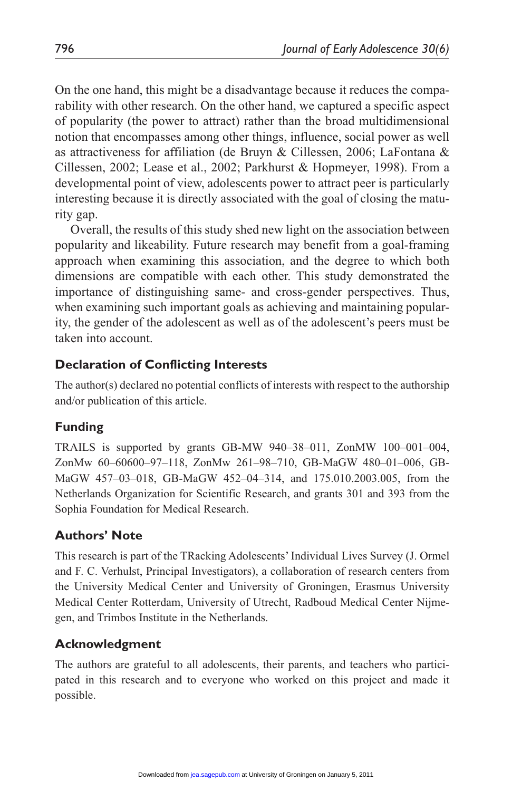On the one hand, this might be a disadvantage because it reduces the comparability with other research. On the other hand, we captured a specific aspect of popularity (the power to attract) rather than the broad multidimensional notion that encompasses among other things, influence, social power as well as attractiveness for affiliation (de Bruyn & Cillessen, 2006; LaFontana & Cillessen, 2002; Lease et al., 2002; Parkhurst & Hopmeyer, 1998). From a developmental point of view, adolescents power to attract peer is particularly interesting because it is directly associated with the goal of closing the maturity gap.

Overall, the results of this study shed new light on the association between popularity and likeability. Future research may benefit from a goal-framing approach when examining this association, and the degree to which both dimensions are compatible with each other. This study demonstrated the importance of distinguishing same- and cross-gender perspectives. Thus, when examining such important goals as achieving and maintaining popularity, the gender of the adolescent as well as of the adolescent's peers must be taken into account.

## **Declaration of Conflicting Interests**

The author(s) declared no potential conflicts of interests with respect to the authorship and/or publication of this article.

## **Funding**

TRAILS is supported by grants GB-MW 940–38–011, ZonMW 100–001–004, ZonMw 60–60600–97–118, ZonMw 261–98–710, GB-MaGW 480–01–006, GB-MaGW 457–03–018, GB-MaGW 452–04–314, and 175.010.2003.005, from the Netherlands Organization for Scientific Research, and grants 301 and 393 from the Sophia Foundation for Medical Research.

## **Authors' Note**

This research is part of the TRacking Adolescents' Individual Lives Survey (J. Ormel and F. C. Verhulst, Principal Investigators), a collaboration of research centers from the University Medical Center and University of Groningen, Erasmus University Medical Center Rotterdam, University of Utrecht, Radboud Medical Center Nijmegen, and Trimbos Institute in the Netherlands.

## **Acknowledgment**

The authors are grateful to all adolescents, their parents, and teachers who participated in this research and to everyone who worked on this project and made it possible.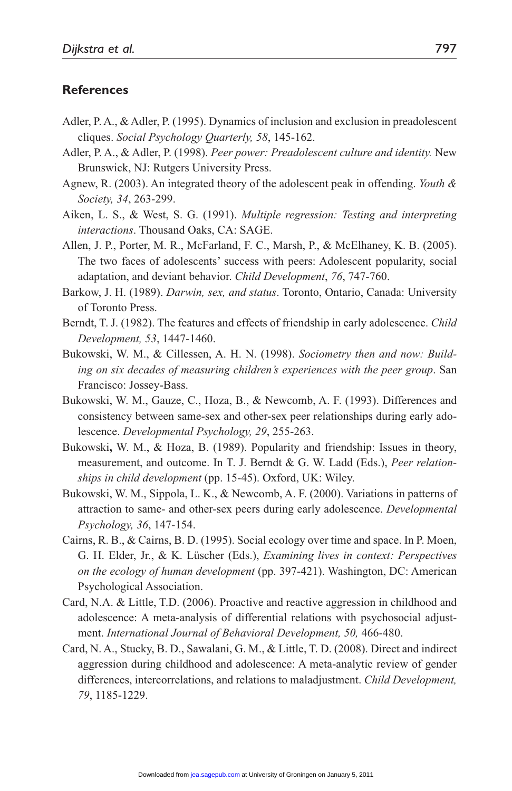#### **References**

- Adler, P. A., & Adler, P. (1995). Dynamics of inclusion and exclusion in preadolescent cliques. *Social Psychology Quarterly, 58*, 145-162.
- Adler, P. A., & Adler, P. (1998). *Peer power: Preadolescent culture and identity.* New Brunswick, NJ: Rutgers University Press.
- Agnew, R. (2003). An integrated theory of the adolescent peak in offending. *Youth & Society, 34*, 263-299.
- Aiken, L. S., & West, S. G. (1991). *Multiple regression: Testing and interpreting interactions*. Thousand Oaks, CA: SAGE.
- Allen, J. P., Porter, M. R., McFarland, F. C., Marsh, P., & McElhaney, K. B. (2005). The two faces of adolescents' success with peers: Adolescent popularity, social adaptation, and deviant behavior. *Child Development*, *76*, 747-760.
- Barkow, J. H. (1989). *Darwin, sex, and status*. Toronto, Ontario, Canada: University of Toronto Press.
- Berndt, T. J. (1982). The features and effects of friendship in early adolescence. *Child Development, 53*, 1447-1460.
- Bukowski, W. M., & Cillessen, A. H. N. (1998). *Sociometry then and now: Building on six decades of measuring children's experiences with the peer group*. San Francisco: Jossey-Bass.
- Bukowski, W. M., Gauze, C., Hoza, B., & Newcomb, A. F. (1993). Differences and consistency between same-sex and other-sex peer relationships during early adolescence. *Developmental Psychology, 29*, 255-263.
- Bukowski**,** W. M., & Hoza, B. (1989). Popularity and friendship: Issues in theory, measurement, and outcome. In T. J. Berndt & G. W. Ladd (Eds.), *Peer relationships in child development* (pp. 15-45). Oxford, UK: Wiley.
- Bukowski, W. M., Sippola, L. K., & Newcomb, A. F. (2000). Variations in patterns of attraction to same- and other-sex peers during early adolescence. *Developmental Psychology, 36*, 147-154.
- Cairns, R. B., & Cairns, B. D. (1995). Social ecology over time and space. In P. Moen, G. H. Elder, Jr., & K. Lüscher (Eds.), *Examining lives in context: Perspectives on the ecology of human development* (pp. 397-421). Washington, DC: American Psychological Association.
- Card, N.A. & Little, T.D. (2006). Proactive and reactive aggression in childhood and adolescence: A meta-analysis of differential relations with psychosocial adjustment. *International Journal of Behavioral Development, 50,* 466-480.
- Card, N. A., Stucky, B. D., Sawalani, G. M., & Little, T. D. (2008). Direct and indirect aggression during childhood and adolescence: A meta-analytic review of gender differences, intercorrelations, and relations to maladjustment. *Child Development, 79*, 1185-1229.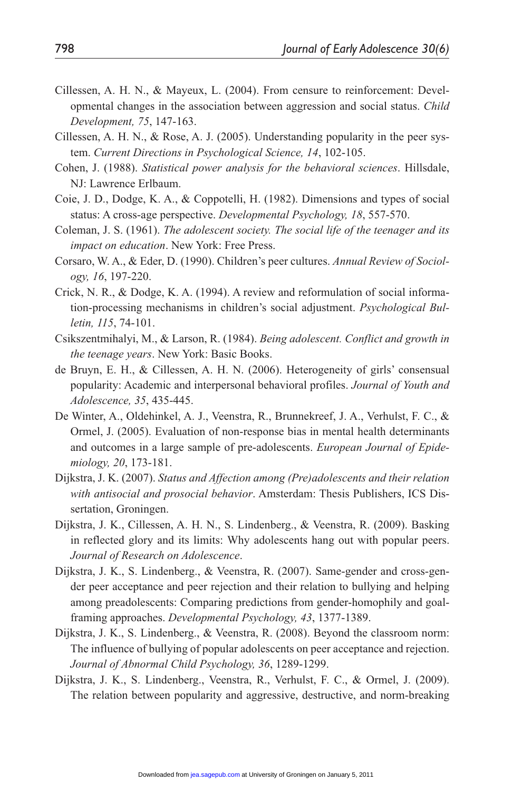- Cillessen, A. H. N., & Mayeux, L. (2004). From censure to reinforcement: Developmental changes in the association between aggression and social status. *Child Development, 75*, 147-163.
- Cillessen, A. H. N., & Rose, A. J. (2005). Understanding popularity in the peer system. *Current Directions in Psychological Science, 14*, 102-105.
- Cohen, J. (1988). *Statistical power analysis for the behavioral sciences*. Hillsdale, NJ: Lawrence Erlbaum.
- Coie, J. D., Dodge, K. A., & Coppotelli, H. (1982). Dimensions and types of social status: A cross-age perspective. *Developmental Psychology, 18*, 557-570.
- Coleman, J. S. (1961). *The adolescent society. The social life of the teenager and its impact on education*. New York: Free Press.
- Corsaro, W. A., & Eder, D. (1990). Children's peer cultures. *Annual Review of Sociology, 16*, 197-220.
- Crick, N. R., & Dodge, K. A. (1994). A review and reformulation of social information-processing mechanisms in children's social adjustment. *Psychological Bulletin, 115*, 74-101.
- Csikszentmihalyi, M., & Larson, R. (1984). *Being adolescent. Conflict and growth in the teenage years*. New York: Basic Books.
- de Bruyn, E. H., & Cillessen, A. H. N. (2006). Heterogeneity of girls' consensual popularity: Academic and interpersonal behavioral profiles. *Journal of Youth and Adolescence, 35*, 435-445.
- De Winter, A., Oldehinkel, A. J., Veenstra, R., Brunnekreef, J. A., Verhulst, F. C., & Ormel, J. (2005). Evaluation of non-response bias in mental health determinants and outcomes in a large sample of pre-adolescents. *European Journal of Epidemiology, 20*, 173-181.
- Dijkstra, J. K. (2007). *Status and Affection among (Pre)adolescents and their relation with antisocial and prosocial behavior*. Amsterdam: Thesis Publishers, ICS Dissertation, Groningen.
- Dijkstra, J. K., Cillessen, A. H. N., S. Lindenberg., & Veenstra, R. (2009). Basking in reflected glory and its limits: Why adolescents hang out with popular peers. *Journal of Research on Adolescence*.
- Dijkstra, J. K., S. Lindenberg., & Veenstra, R. (2007). Same-gender and cross-gender peer acceptance and peer rejection and their relation to bullying and helping among preadolescents: Comparing predictions from gender-homophily and goalframing approaches. *Developmental Psychology, 43*, 1377-1389.
- Dijkstra, J. K., S. Lindenberg., & Veenstra, R. (2008). Beyond the classroom norm: The influence of bullying of popular adolescents on peer acceptance and rejection. *Journal of Abnormal Child Psychology, 36*, 1289-1299.
- Dijkstra, J. K., S. Lindenberg., Veenstra, R., Verhulst, F. C., & Ormel, J. (2009). The relation between popularity and aggressive, destructive, and norm-breaking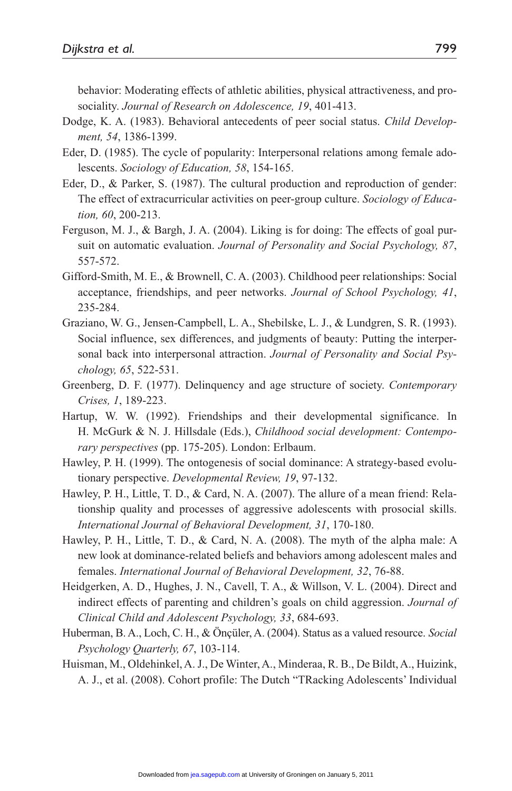behavior: Moderating effects of athletic abilities, physical attractiveness, and prosociality. *Journal of Research on Adolescence, 19*, 401-413.

- Dodge, K. A. (1983). Behavioral antecedents of peer social status. *Child Development, 54*, 1386-1399.
- Eder, D. (1985). The cycle of popularity: Interpersonal relations among female adolescents. *Sociology of Education, 58*, 154-165.
- Eder, D., & Parker, S. (1987). The cultural production and reproduction of gender: The effect of extracurricular activities on peer-group culture. *Sociology of Education, 60*, 200-213.
- Ferguson, M. J., & Bargh, J. A. (2004). Liking is for doing: The effects of goal pursuit on automatic evaluation. *Journal of Personality and Social Psychology, 87*, 557-572.
- Gifford-Smith, M. E., & Brownell, C. A. (2003). Childhood peer relationships: Social acceptance, friendships, and peer networks. *Journal of School Psychology, 41*, 235-284.
- Graziano, W. G., Jensen-Campbell, L. A., Shebilske, L. J., & Lundgren, S. R. (1993). Social influence, sex differences, and judgments of beauty: Putting the interpersonal back into interpersonal attraction. *Journal of Personality and Social Psychology, 65*, 522-531.
- Greenberg, D. F. (1977). Delinquency and age structure of society. *Contemporary Crises, 1*, 189-223.
- Hartup, W. W. (1992). Friendships and their developmental significance. In H. McGurk & N. J. Hillsdale (Eds.), *Childhood social development: Contemporary perspectives* (pp. 175-205). London: Erlbaum.
- Hawley, P. H. (1999). The ontogenesis of social dominance: A strategy-based evolutionary perspective. *Developmental Review, 19*, 97-132.
- Hawley, P. H., Little, T. D., & Card, N. A. (2007). The allure of a mean friend: Relationship quality and processes of aggressive adolescents with prosocial skills. *International Journal of Behavioral Development, 31*, 170-180.
- Hawley, P. H., Little, T. D., & Card, N. A. (2008). The myth of the alpha male: A new look at dominance-related beliefs and behaviors among adolescent males and females. *International Journal of Behavioral Development, 32*, 76-88.
- Heidgerken, A. D., Hughes, J. N., Cavell, T. A., & Willson, V. L. (2004). Direct and indirect effects of parenting and children's goals on child aggression. *Journal of Clinical Child and Adolescent Psychology, 33*, 684-693.
- Huberman, B. A., Loch, C. H., & Önçüler, A. (2004). Status as a valued resource. *Social Psychology Quarterly, 67*, 103-114.
- Huisman, M., Oldehinkel, A. J., De Winter, A., Minderaa, R. B., De Bildt, A., Huizink, A. J., et al. (2008). Cohort profile: The Dutch "TRacking Adolescents' Individual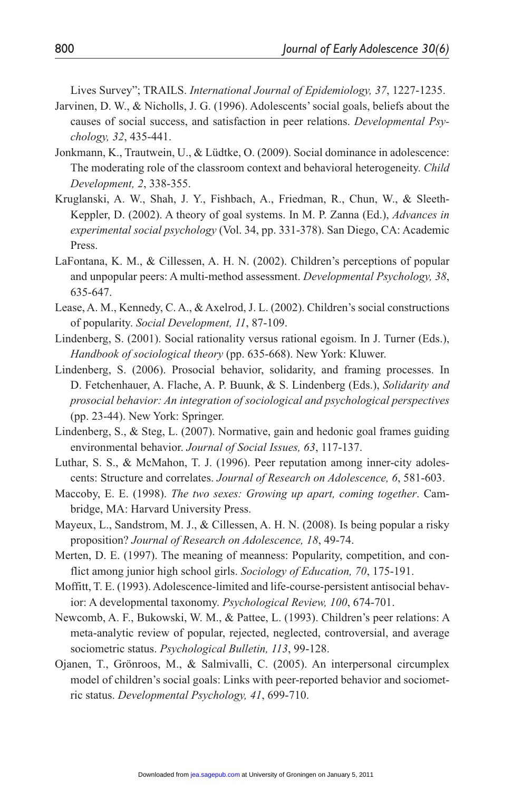Lives Survey"; TRAILS. *International Journal of Epidemiology, 37*, 1227-1235.

- Jarvinen, D. W., & Nicholls, J. G. (1996). Adolescents' social goals, beliefs about the causes of social success, and satisfaction in peer relations. *Developmental Psychology, 32*, 435-441.
- Jonkmann, K., Trautwein, U., & Lüdtke, O. (2009). Social dominance in adolescence: The moderating role of the classroom context and behavioral heterogeneity. *Child Development, 2*, 338-355.
- Kruglanski, A. W., Shah, J. Y., Fishbach, A., Friedman, R., Chun, W., & Sleeth-Keppler, D. (2002). A theory of goal systems. In M. P. Zanna (Ed.), *Advances in experimental social psychology* (Vol. 34, pp. 331-378). San Diego, CA: Academic Press.
- LaFontana, K. M., & Cillessen, A. H. N. (2002). Children's perceptions of popular and unpopular peers: A multi-method assessment. *Developmental Psychology, 38*, 635-647.
- Lease, A. M., Kennedy, C. A., & Axelrod, J. L. (2002). Children's social constructions of popularity. *Social Development, 11*, 87-109.
- Lindenberg, S. (2001). Social rationality versus rational egoism. In J. Turner (Eds.), *Handbook of sociological theory* (pp. 635-668). New York: Kluwer.
- Lindenberg, S. (2006). Prosocial behavior, solidarity, and framing processes. In D. Fetchenhauer, A. Flache, A. P. Buunk, & S. Lindenberg (Eds.), *Solidarity and prosocial behavior: An integration of sociological and psychological perspectives* (pp. 23-44). New York: Springer.
- Lindenberg, S., & Steg, L. (2007). Normative, gain and hedonic goal frames guiding environmental behavior. *Journal of Social Issues, 63*, 117-137.
- Luthar, S. S., & McMahon, T. J. (1996). Peer reputation among inner-city adolescents: Structure and correlates. *Journal of Research on Adolescence, 6*, 581-603.
- Maccoby, E. E. (1998). *The two sexes: Growing up apart, coming together*. Cambridge, MA: Harvard University Press.
- Mayeux, L., Sandstrom, M. J., & Cillessen, A. H. N. (2008). Is being popular a risky proposition? *Journal of Research on Adolescence, 18*, 49-74.
- Merten, D. E. (1997). The meaning of meanness: Popularity, competition, and conflict among junior high school girls. *Sociology of Education, 70*, 175-191.
- Moffitt, T. E. (1993). Adolescence-limited and life-course-persistent antisocial behavior: A developmental taxonomy. *Psychological Review, 100*, 674-701.
- Newcomb, A. F., Bukowski, W. M., & Pattee, L. (1993). Children's peer relations: A meta-analytic review of popular, rejected, neglected, controversial, and average sociometric status. *Psychological Bulletin, 113*, 99-128.
- Ojanen, T., Grönroos, M., & Salmivalli, C. (2005). An interpersonal circumplex model of children's social goals: Links with peer-reported behavior and sociometric status. *Developmental Psychology, 41*, 699-710.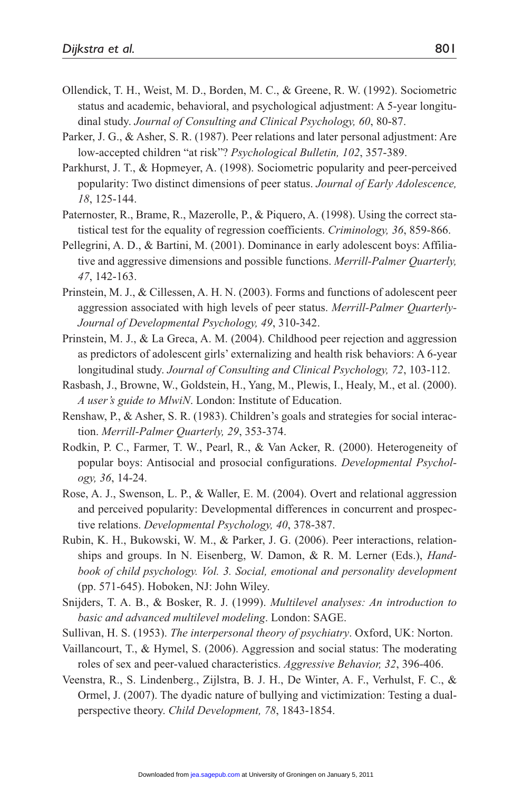- Ollendick, T. H., Weist, M. D., Borden, M. C., & Greene, R. W. (1992). Sociometric status and academic, behavioral, and psychological adjustment: A 5-year longitudinal study. *Journal of Consulting and Clinical Psychology, 60*, 80-87.
- Parker, J. G., & Asher, S. R. (1987). Peer relations and later personal adjustment: Are low-accepted children "at risk"? *Psychological Bulletin, 102*, 357-389.
- Parkhurst, J. T., & Hopmeyer, A. (1998). Sociometric popularity and peer-perceived popularity: Two distinct dimensions of peer status. *Journal of Early Adolescence, 18*, 125-144.
- Paternoster, R., Brame, R., Mazerolle, P., & Piquero, A. (1998). Using the correct statistical test for the equality of regression coefficients. *Criminology, 36*, 859-866.
- Pellegrini, A. D., & Bartini, M. (2001). Dominance in early adolescent boys: Affiliative and aggressive dimensions and possible functions. *Merrill-Palmer Quarterly, 47*, 142-163.
- Prinstein, M. J., & Cillessen, A. H. N. (2003). Forms and functions of adolescent peer aggression associated with high levels of peer status. *Merrill-Palmer Quarterly-Journal of Developmental Psychology, 49*, 310-342.
- Prinstein, M. J., & La Greca, A. M. (2004). Childhood peer rejection and aggression as predictors of adolescent girls' externalizing and health risk behaviors: A 6-year longitudinal study. *Journal of Consulting and Clinical Psychology, 72*, 103-112.
- Rasbash, J., Browne, W., Goldstein, H., Yang, M., Plewis, I., Healy, M., et al. (2000). *A user's guide to MlwiN*. London: Institute of Education.
- Renshaw, P., & Asher, S. R. (1983). Children's goals and strategies for social interaction. *Merrill-Palmer Quarterly, 29*, 353-374.
- Rodkin, P. C., Farmer, T. W., Pearl, R., & Van Acker, R. (2000). Heterogeneity of popular boys: Antisocial and prosocial configurations. *Developmental Psychology, 36*, 14-24.
- Rose, A. J., Swenson, L. P., & Waller, E. M. (2004). Overt and relational aggression and perceived popularity: Developmental differences in concurrent and prospective relations. *Developmental Psychology, 40*, 378-387.
- Rubin, K. H., Bukowski, W. M., & Parker, J. G. (2006). Peer interactions, relationships and groups. In N. Eisenberg, W. Damon, & R. M. Lerner (Eds.), *Handbook of child psychology. Vol. 3. Social, emotional and personality development* (pp. 571-645). Hoboken, NJ: John Wiley.
- Snijders, T. A. B., & Bosker, R. J. (1999). *Multilevel analyses: An introduction to*  basic and advanced multilevel modeling. London: SAGE.
- Sullivan, H. S. (1953). *The interpersonal theory of psychiatry*. Oxford, UK: Norton.
- Vaillancourt, T., & Hymel, S. (2006). Aggression and social status: The moderating roles of sex and peer-valued characteristics. *Aggressive Behavior, 32*, 396-406.
- Veenstra, R., S. Lindenberg., Zijlstra, B. J. H., De Winter, A. F., Verhulst, F. C., & Ormel, J. (2007). The dyadic nature of bullying and victimization: Testing a dualperspective theory. *Child Development, 78*, 1843-1854.